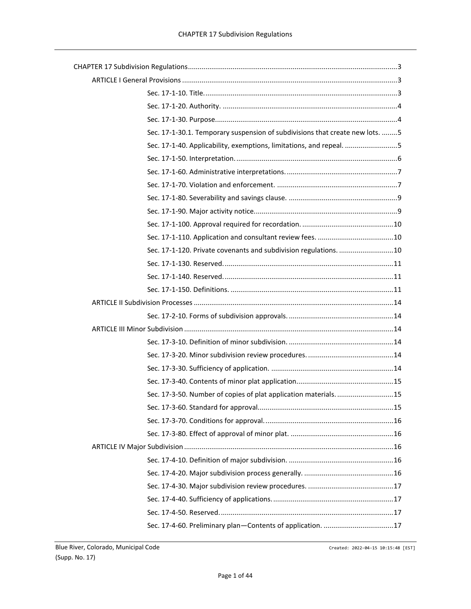| Sec. 17-1-30.1. Temporary suspension of subdivisions that create new lots. 5 |  |
|------------------------------------------------------------------------------|--|
| Sec. 17-1-40. Applicability, exemptions, limitations, and repeal. 5          |  |
|                                                                              |  |
|                                                                              |  |
|                                                                              |  |
|                                                                              |  |
|                                                                              |  |
|                                                                              |  |
|                                                                              |  |
| Sec. 17-1-120. Private covenants and subdivision regulations. 10             |  |
|                                                                              |  |
|                                                                              |  |
|                                                                              |  |
|                                                                              |  |
|                                                                              |  |
|                                                                              |  |
|                                                                              |  |
|                                                                              |  |
|                                                                              |  |
|                                                                              |  |
|                                                                              |  |
| Sec. 17-3-50. Number of copies of plat application materials. 15             |  |
|                                                                              |  |
|                                                                              |  |
|                                                                              |  |
|                                                                              |  |
|                                                                              |  |
|                                                                              |  |
|                                                                              |  |
|                                                                              |  |
|                                                                              |  |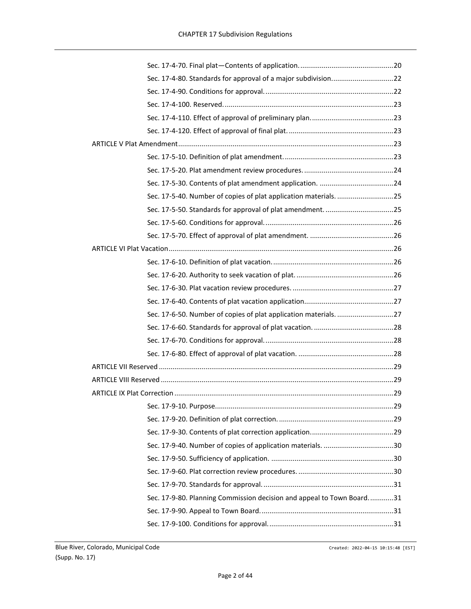| Sec. 17-9-80. Planning Commission decision and appeal to Town Board31 |  |  |
|-----------------------------------------------------------------------|--|--|
|                                                                       |  |  |
|                                                                       |  |  |
|                                                                       |  |  |
|                                                                       |  |  |
|                                                                       |  |  |
|                                                                       |  |  |
|                                                                       |  |  |
|                                                                       |  |  |
|                                                                       |  |  |
|                                                                       |  |  |
|                                                                       |  |  |
|                                                                       |  |  |
|                                                                       |  |  |
|                                                                       |  |  |
|                                                                       |  |  |
|                                                                       |  |  |
|                                                                       |  |  |
|                                                                       |  |  |
|                                                                       |  |  |
|                                                                       |  |  |
|                                                                       |  |  |
|                                                                       |  |  |
|                                                                       |  |  |
|                                                                       |  |  |
|                                                                       |  |  |
|                                                                       |  |  |
|                                                                       |  |  |
|                                                                       |  |  |
|                                                                       |  |  |
|                                                                       |  |  |
|                                                                       |  |  |
|                                                                       |  |  |
|                                                                       |  |  |
|                                                                       |  |  |
|                                                                       |  |  |
|                                                                       |  |  |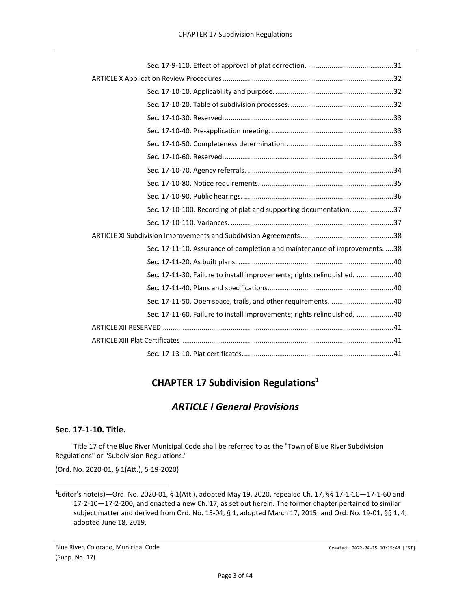| Sec. 17-10-100. Recording of plat and supporting documentation. 37          |
|-----------------------------------------------------------------------------|
|                                                                             |
|                                                                             |
| Sec. 17-11-10. Assurance of completion and maintenance of improvements.  38 |
|                                                                             |
| Sec. 17-11-30. Failure to install improvements; rights relinquished. 40     |
|                                                                             |
| Sec. 17-11-50. Open space, trails, and other requirements. 40               |
| Sec. 17-11-60. Failure to install improvements; rights relinquished. 40     |
|                                                                             |
|                                                                             |
|                                                                             |
|                                                                             |

# **CHAPTER 17 Subdivision Regulations<sup>1</sup>**

## *ARTICLE I General Provisions*

## <span id="page-2-2"></span><span id="page-2-1"></span><span id="page-2-0"></span>**Sec. 17-1-10. Title.**

Title 17 of the Blue River Municipal Code shall be referred to as the "Town of Blue River Subdivision Regulations" or "Subdivision Regulations."

(Ord. No. 2020-01, § 1(Att.), 5-19-2020)

Blue River, Colorado, Municipal Code Created: 2022-04-15 10:15:48 [EST] (Supp. No. 17)

<sup>1</sup>Editor's note(s)—Ord. No. 2020-01, § 1(Att.), adopted May 19, 2020, repealed Ch. 17, §§ 17-1-10—17-1-60 and 17-2-10—17-2-200, and enacted a new Ch. 17, as set out herein. The former chapter pertained to similar subject matter and derived from Ord. No. 15-04, § 1, adopted March 17, 2015; and Ord. No. 19-01, §§ 1, 4, adopted June 18, 2019.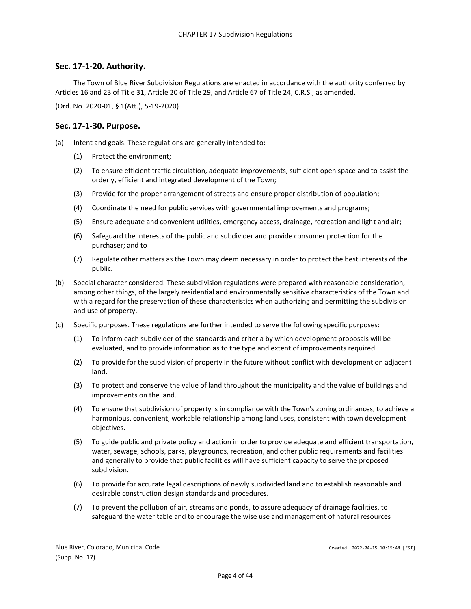#### <span id="page-3-0"></span>**Sec. 17-1-20. Authority.**

The Town of Blue River Subdivision Regulations are enacted in accordance with the authority conferred by Articles 16 and 23 of Title 31, Article 20 of Title 29, and Article 67 of Title 24, C.R.S., as amended.

(Ord. No. 2020-01, § 1(Att.), 5-19-2020)

#### <span id="page-3-1"></span>**Sec. 17-1-30. Purpose.**

- (a) Intent and goals. These regulations are generally intended to:
	- (1) Protect the environment;
	- (2) To ensure efficient traffic circulation, adequate improvements, sufficient open space and to assist the orderly, efficient and integrated development of the Town;
	- (3) Provide for the proper arrangement of streets and ensure proper distribution of population;
	- (4) Coordinate the need for public services with governmental improvements and programs;
	- (5) Ensure adequate and convenient utilities, emergency access, drainage, recreation and light and air;
	- (6) Safeguard the interests of the public and subdivider and provide consumer protection for the purchaser; and to
	- (7) Regulate other matters as the Town may deem necessary in order to protect the best interests of the public.
- (b) Special character considered. These subdivision regulations were prepared with reasonable consideration, among other things, of the largely residential and environmentally sensitive characteristics of the Town and with a regard for the preservation of these characteristics when authorizing and permitting the subdivision and use of property.
- (c) Specific purposes. These regulations are further intended to serve the following specific purposes:
	- (1) To inform each subdivider of the standards and criteria by which development proposals will be evaluated, and to provide information as to the type and extent of improvements required.
	- (2) To provide for the subdivision of property in the future without conflict with development on adjacent land.
	- (3) To protect and conserve the value of land throughout the municipality and the value of buildings and improvements on the land.
	- (4) To ensure that subdivision of property is in compliance with the Town's zoning ordinances, to achieve a harmonious, convenient, workable relationship among land uses, consistent with town development objectives.
	- (5) To guide public and private policy and action in order to provide adequate and efficient transportation, water, sewage, schools, parks, playgrounds, recreation, and other public requirements and facilities and generally to provide that public facilities will have sufficient capacity to serve the proposed subdivision.
	- (6) To provide for accurate legal descriptions of newly subdivided land and to establish reasonable and desirable construction design standards and procedures.
	- (7) To prevent the pollution of air, streams and ponds, to assure adequacy of drainage facilities, to safeguard the water table and to encourage the wise use and management of natural resources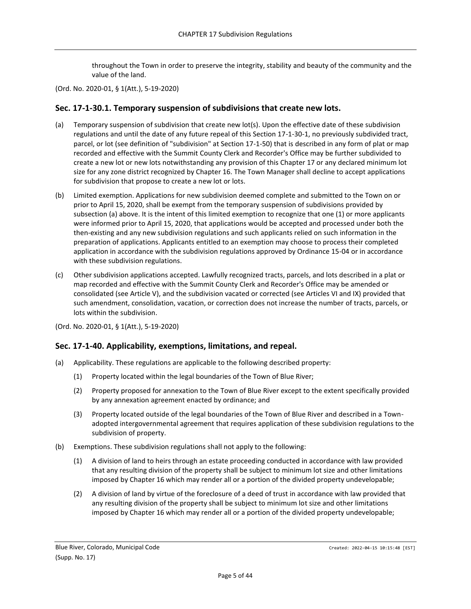throughout the Town in order to preserve the integrity, stability and beauty of the community and the value of the land.

(Ord. No. 2020-01, § 1(Att.), 5-19-2020)

#### <span id="page-4-0"></span>**Sec. 17-1-30.1. Temporary suspension of subdivisions that create new lots.**

- (a) Temporary suspension of subdivision that create new lot(s). Upon the effective date of these subdivision regulations and until the date of any future repeal of this Section 17-1-30-1, no previously subdivided tract, parcel, or lot (see definition of "subdivision" at Section 17-1-50) that is described in any form of plat or map recorded and effective with the Summit County Clerk and Recorder's Office may be further subdivided to create a new lot or new lots notwithstanding any provision of this Chapter 17 or any declared minimum lot size for any zone district recognized by Chapter 16. The Town Manager shall decline to accept applications for subdivision that propose to create a new lot or lots.
- (b) Limited exemption. Applications for new subdivision deemed complete and submitted to the Town on or prior to April 15, 2020, shall be exempt from the temporary suspension of subdivisions provided by subsection (a) above. It is the intent of this limited exemption to recognize that one (1) or more applicants were informed prior to April 15, 2020, that applications would be accepted and processed under both the then-existing and any new subdivision regulations and such applicants relied on such information in the preparation of applications. Applicants entitled to an exemption may choose to process their completed application in accordance with the subdivision regulations approved by Ordinance 15-04 or in accordance with these subdivision regulations.
- (c) Other subdivision applications accepted. Lawfully recognized tracts, parcels, and lots described in a plat or map recorded and effective with the Summit County Clerk and Recorder's Office may be amended or consolidated (see Article V), and the subdivision vacated or corrected (see Articles VI and IX) provided that such amendment, consolidation, vacation, or correction does not increase the number of tracts, parcels, or lots within the subdivision.

(Ord. No. 2020-01, § 1(Att.), 5-19-2020)

## <span id="page-4-1"></span>**Sec. 17-1-40. Applicability, exemptions, limitations, and repeal.**

- (a) Applicability. These regulations are applicable to the following described property:
	- (1) Property located within the legal boundaries of the Town of Blue River;
	- (2) Property proposed for annexation to the Town of Blue River except to the extent specifically provided by any annexation agreement enacted by ordinance; and
	- (3) Property located outside of the legal boundaries of the Town of Blue River and described in a Townadopted intergovernmental agreement that requires application of these subdivision regulations to the subdivision of property.
- (b) Exemptions. These subdivision regulations shall not apply to the following:
	- (1) A division of land to heirs through an estate proceeding conducted in accordance with law provided that any resulting division of the property shall be subject to minimum lot size and other limitations imposed by Chapter 16 which may render all or a portion of the divided property undevelopable;
	- (2) A division of land by virtue of the foreclosure of a deed of trust in accordance with law provided that any resulting division of the property shall be subject to minimum lot size and other limitations imposed by Chapter 16 which may render all or a portion of the divided property undevelopable;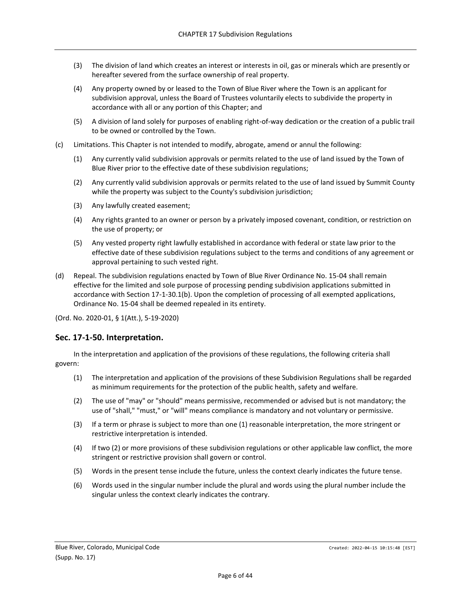- (3) The division of land which creates an interest or interests in oil, gas or minerals which are presently or hereafter severed from the surface ownership of real property.
- (4) Any property owned by or leased to the Town of Blue River where the Town is an applicant for subdivision approval, unless the Board of Trustees voluntarily elects to subdivide the property in accordance with all or any portion of this Chapter; and
- (5) A division of land solely for purposes of enabling right-of-way dedication or the creation of a public trail to be owned or controlled by the Town.
- (c) Limitations. This Chapter is not intended to modify, abrogate, amend or annul the following:
	- (1) Any currently valid subdivision approvals or permits related to the use of land issued by the Town of Blue River prior to the effective date of these subdivision regulations;
	- (2) Any currently valid subdivision approvals or permits related to the use of land issued by Summit County while the property was subject to the County's subdivision jurisdiction;
	- (3) Any lawfully created easement;
	- (4) Any rights granted to an owner or person by a privately imposed covenant, condition, or restriction on the use of property; or
	- (5) Any vested property right lawfully established in accordance with federal or state law prior to the effective date of these subdivision regulations subject to the terms and conditions of any agreement or approval pertaining to such vested right.
- (d) Repeal. The subdivision regulations enacted by Town of Blue River Ordinance No. 15-04 shall remain effective for the limited and sole purpose of processing pending subdivision applications submitted in accordance with Section 17-1-30.1(b). Upon the completion of processing of all exempted applications, Ordinance No. 15-04 shall be deemed repealed in its entirety.

## <span id="page-5-0"></span>**Sec. 17-1-50. Interpretation.**

In the interpretation and application of the provisions of these regulations, the following criteria shall govern:

- (1) The interpretation and application of the provisions of these Subdivision Regulations shall be regarded as minimum requirements for the protection of the public health, safety and welfare.
- (2) The use of "may" or "should" means permissive, recommended or advised but is not mandatory; the use of "shall," "must," or "will" means compliance is mandatory and not voluntary or permissive.
- (3) If a term or phrase is subject to more than one (1) reasonable interpretation, the more stringent or restrictive interpretation is intended.
- (4) If two (2) or more provisions of these subdivision regulations or other applicable law conflict, the more stringent or restrictive provision shall govern or control.
- (5) Words in the present tense include the future, unless the context clearly indicates the future tense.
- (6) Words used in the singular number include the plural and words using the plural number include the singular unless the context clearly indicates the contrary.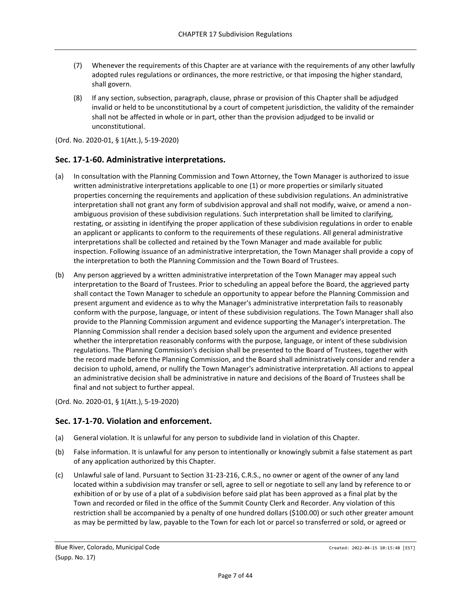- (7) Whenever the requirements of this Chapter are at variance with the requirements of any other lawfully adopted rules regulations or ordinances, the more restrictive, or that imposing the higher standard, shall govern.
- (8) If any section, subsection, paragraph, clause, phrase or provision of this Chapter shall be adjudged invalid or held to be unconstitutional by a court of competent jurisdiction, the validity of the remainder shall not be affected in whole or in part, other than the provision adjudged to be invalid or unconstitutional.

#### <span id="page-6-0"></span>**Sec. 17-1-60. Administrative interpretations.**

- (a) In consultation with the Planning Commission and Town Attorney, the Town Manager is authorized to issue written administrative interpretations applicable to one (1) or more properties or similarly situated properties concerning the requirements and application of these subdivision regulations. An administrative interpretation shall not grant any form of subdivision approval and shall not modify, waive, or amend a nonambiguous provision of these subdivision regulations. Such interpretation shall be limited to clarifying, restating, or assisting in identifying the proper application of these subdivision regulations in order to enable an applicant or applicants to conform to the requirements of these regulations. All general administrative interpretations shall be collected and retained by the Town Manager and made available for public inspection. Following issuance of an administrative interpretation, the Town Manager shall provide a copy of the interpretation to both the Planning Commission and the Town Board of Trustees.
- (b) Any person aggrieved by a written administrative interpretation of the Town Manager may appeal such interpretation to the Board of Trustees. Prior to scheduling an appeal before the Board, the aggrieved party shall contact the Town Manager to schedule an opportunity to appear before the Planning Commission and present argument and evidence as to why the Manager's administrative interpretation fails to reasonably conform with the purpose, language, or intent of these subdivision regulations. The Town Manager shall also provide to the Planning Commission argument and evidence supporting the Manager's interpretation. The Planning Commission shall render a decision based solely upon the argument and evidence presented whether the interpretation reasonably conforms with the purpose, language, or intent of these subdivision regulations. The Planning Commission's decision shall be presented to the Board of Trustees, together with the record made before the Planning Commission, and the Board shall administratively consider and render a decision to uphold, amend, or nullify the Town Manager's administrative interpretation. All actions to appeal an administrative decision shall be administrative in nature and decisions of the Board of Trustees shall be final and not subject to further appeal.

(Ord. No. 2020-01, § 1(Att.), 5-19-2020)

## <span id="page-6-1"></span>**Sec. 17-1-70. Violation and enforcement.**

- (a) General violation. It is unlawful for any person to subdivide land in violation of this Chapter.
- (b) False information. It is unlawful for any person to intentionally or knowingly submit a false statement as part of any application authorized by this Chapter.
- (c) Unlawful sale of land. Pursuant to Section 31-23-216, C.R.S., no owner or agent of the owner of any land located within a subdivision may transfer or sell, agree to sell or negotiate to sell any land by reference to or exhibition of or by use of a plat of a subdivision before said plat has been approved as a final plat by the Town and recorded or filed in the office of the Summit County Clerk and Recorder. Any violation of this restriction shall be accompanied by a penalty of one hundred dollars (\$100.00) or such other greater amount as may be permitted by law, payable to the Town for each lot or parcel so transferred or sold, or agreed or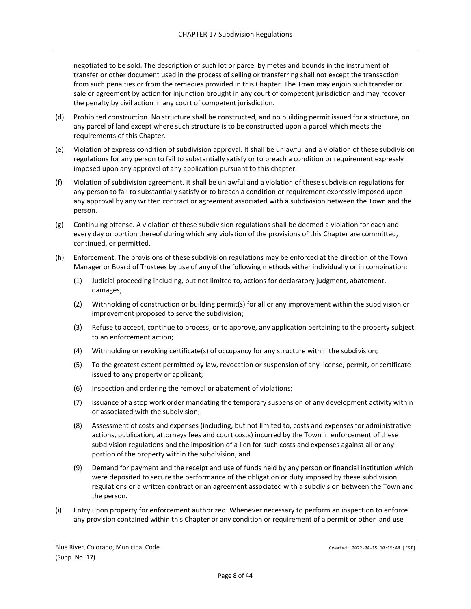negotiated to be sold. The description of such lot or parcel by metes and bounds in the instrument of transfer or other document used in the process of selling or transferring shall not except the transaction from such penalties or from the remedies provided in this Chapter. The Town may enjoin such transfer or sale or agreement by action for injunction brought in any court of competent jurisdiction and may recover the penalty by civil action in any court of competent jurisdiction.

- (d) Prohibited construction. No structure shall be constructed, and no building permit issued for a structure, on any parcel of land except where such structure is to be constructed upon a parcel which meets the requirements of this Chapter.
- (e) Violation of express condition of subdivision approval. It shall be unlawful and a violation of these subdivision regulations for any person to fail to substantially satisfy or to breach a condition or requirement expressly imposed upon any approval of any application pursuant to this chapter.
- (f) Violation of subdivision agreement. It shall be unlawful and a violation of these subdivision regulations for any person to fail to substantially satisfy or to breach a condition or requirement expressly imposed upon any approval by any written contract or agreement associated with a subdivision between the Town and the person.
- (g) Continuing offense. A violation of these subdivision regulations shall be deemed a violation for each and every day or portion thereof during which any violation of the provisions of this Chapter are committed, continued, or permitted.
- (h) Enforcement. The provisions of these subdivision regulations may be enforced at the direction of the Town Manager or Board of Trustees by use of any of the following methods either individually or in combination:
	- (1) Judicial proceeding including, but not limited to, actions for declaratory judgment, abatement, damages;
	- (2) Withholding of construction or building permit(s) for all or any improvement within the subdivision or improvement proposed to serve the subdivision;
	- (3) Refuse to accept, continue to process, or to approve, any application pertaining to the property subject to an enforcement action;
	- (4) Withholding or revoking certificate(s) of occupancy for any structure within the subdivision;
	- (5) To the greatest extent permitted by law, revocation or suspension of any license, permit, or certificate issued to any property or applicant;
	- (6) Inspection and ordering the removal or abatement of violations;
	- (7) Issuance of a stop work order mandating the temporary suspension of any development activity within or associated with the subdivision;
	- (8) Assessment of costs and expenses (including, but not limited to, costs and expenses for administrative actions, publication, attorneys fees and court costs) incurred by the Town in enforcement of these subdivision regulations and the imposition of a lien for such costs and expenses against all or any portion of the property within the subdivision; and
	- (9) Demand for payment and the receipt and use of funds held by any person or financial institution which were deposited to secure the performance of the obligation or duty imposed by these subdivision regulations or a written contract or an agreement associated with a subdivision between the Town and the person.
- (i) Entry upon property for enforcement authorized. Whenever necessary to perform an inspection to enforce any provision contained within this Chapter or any condition or requirement of a permit or other land use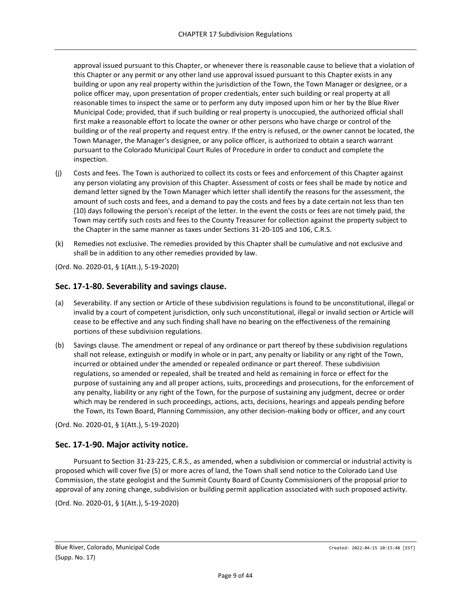approval issued pursuant to this Chapter, or whenever there is reasonable cause to believe that a violation of this Chapter or any permit or any other land use approval issued pursuant to this Chapter exists in any building or upon any real property within the jurisdiction of the Town, the Town Manager or designee, or a police officer may, upon presentation of proper credentials, enter such building or real property at all reasonable times to inspect the same or to perform any duty imposed upon him or her by the Blue River Municipal Code; provided, that if such building or real property is unoccupied, the authorized official shall first make a reasonable effort to locate the owner or other persons who have charge or control of the building or of the real property and request entry. If the entry is refused, or the owner cannot be located, the Town Manager, the Manager's designee, or any police officer, is authorized to obtain a search warrant pursuant to the Colorado Municipal Court Rules of Procedure in order to conduct and complete the inspection.

- (j) Costs and fees. The Town is authorized to collect its costs or fees and enforcement of this Chapter against any person violating any provision of this Chapter. Assessment of costs or fees shall be made by notice and demand letter signed by the Town Manager which letter shall identify the reasons for the assessment, the amount of such costs and fees, and a demand to pay the costs and fees by a date certain not less than ten (10) days following the person's receipt of the letter. In the event the costs or fees are not timely paid, the Town may certify such costs and fees to the County Treasurer for collection against the property subject to the Chapter in the same manner as taxes under Sections 31-20-105 and 106, C.R.S.
- (k) Remedies not exclusive. The remedies provided by this Chapter shall be cumulative and not exclusive and shall be in addition to any other remedies provided by law.

(Ord. No. 2020-01, § 1(Att.), 5-19-2020)

#### <span id="page-8-0"></span>**Sec. 17-1-80. Severability and savings clause.**

- (a) Severability. If any section or Article of these subdivision regulations is found to be unconstitutional, illegal or invalid by a court of competent jurisdiction, only such unconstitutional, illegal or invalid section or Article will cease to be effective and any such finding shall have no bearing on the effectiveness of the remaining portions of these subdivision regulations.
- (b) Savings clause. The amendment or repeal of any ordinance or part thereof by these subdivision regulations shall not release, extinguish or modify in whole or in part, any penalty or liability or any right of the Town, incurred or obtained under the amended or repealed ordinance or part thereof. These subdivision regulations, so amended or repealed, shall be treated and held as remaining in force or effect for the purpose of sustaining any and all proper actions, suits, proceedings and prosecutions, for the enforcement of any penalty, liability or any right of the Town, for the purpose of sustaining any judgment, decree or order which may be rendered in such proceedings, actions, acts, decisions, hearings and appeals pending before the Town, its Town Board, Planning Commission, any other decision-making body or officer, and any court

(Ord. No. 2020-01, § 1(Att.), 5-19-2020)

## <span id="page-8-1"></span>**Sec. 17-1-90. Major activity notice.**

Pursuant to Section 31-23-225, C.R.S., as amended, when a subdivision or commercial or industrial activity is proposed which will cover five (5) or more acres of land, the Town shall send notice to the Colorado Land Use Commission, the state geologist and the Summit County Board of County Commissioners of the proposal prior to approval of any zoning change, subdivision or building permit application associated with such proposed activity.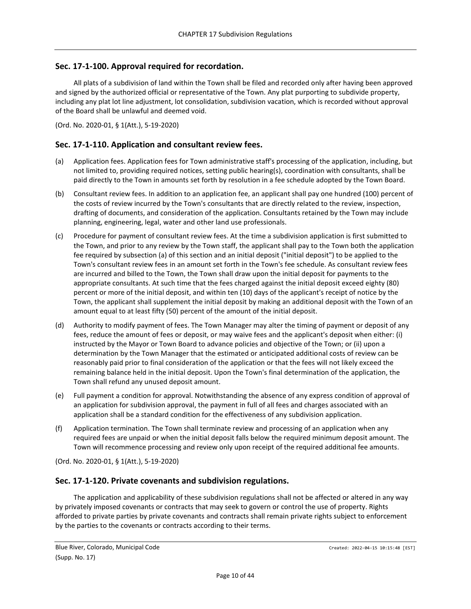## <span id="page-9-0"></span>**Sec. 17-1-100. Approval required for recordation.**

All plats of a subdivision of land within the Town shall be filed and recorded only after having been approved and signed by the authorized official or representative of the Town. Any plat purporting to subdivide property, including any plat lot line adjustment, lot consolidation, subdivision vacation, which is recorded without approval of the Board shall be unlawful and deemed void.

(Ord. No. 2020-01, § 1(Att.), 5-19-2020)

## <span id="page-9-1"></span>**Sec. 17-1-110. Application and consultant review fees.**

- (a) Application fees. Application fees for Town administrative staff's processing of the application, including, but not limited to, providing required notices, setting public hearing(s), coordination with consultants, shall be paid directly to the Town in amounts set forth by resolution in a fee schedule adopted by the Town Board.
- (b) Consultant review fees. In addition to an application fee, an applicant shall pay one hundred (100) percent of the costs of review incurred by the Town's consultants that are directly related to the review, inspection, drafting of documents, and consideration of the application. Consultants retained by the Town may include planning, engineering, legal, water and other land use professionals.
- (c) Procedure for payment of consultant review fees. At the time a subdivision application is first submitted to the Town, and prior to any review by the Town staff, the applicant shall pay to the Town both the application fee required by subsection (a) of this section and an initial deposit ("initial deposit") to be applied to the Town's consultant review fees in an amount set forth in the Town's fee schedule. As consultant review fees are incurred and billed to the Town, the Town shall draw upon the initial deposit for payments to the appropriate consultants. At such time that the fees charged against the initial deposit exceed eighty (80) percent or more of the initial deposit, and within ten (10) days of the applicant's receipt of notice by the Town, the applicant shall supplement the initial deposit by making an additional deposit with the Town of an amount equal to at least fifty (50) percent of the amount of the initial deposit.
- (d) Authority to modify payment of fees. The Town Manager may alter the timing of payment or deposit of any fees, reduce the amount of fees or deposit, or may waive fees and the applicant's deposit when either: (i) instructed by the Mayor or Town Board to advance policies and objective of the Town; or (ii) upon a determination by the Town Manager that the estimated or anticipated additional costs of review can be reasonably paid prior to final consideration of the application or that the fees will not likely exceed the remaining balance held in the initial deposit. Upon the Town's final determination of the application, the Town shall refund any unused deposit amount.
- (e) Full payment a condition for approval. Notwithstanding the absence of any express condition of approval of an application for subdivision approval, the payment in full of all fees and charges associated with an application shall be a standard condition for the effectiveness of any subdivision application.
- (f) Application termination. The Town shall terminate review and processing of an application when any required fees are unpaid or when the initial deposit falls below the required minimum deposit amount. The Town will recommence processing and review only upon receipt of the required additional fee amounts.

(Ord. No. 2020-01, § 1(Att.), 5-19-2020)

#### <span id="page-9-2"></span>**Sec. 17-1-120. Private covenants and subdivision regulations.**

The application and applicability of these subdivision regulations shall not be affected or altered in any way by privately imposed covenants or contracts that may seek to govern or control the use of property. Rights afforded to private parties by private covenants and contracts shall remain private rights subject to enforcement by the parties to the covenants or contracts according to their terms.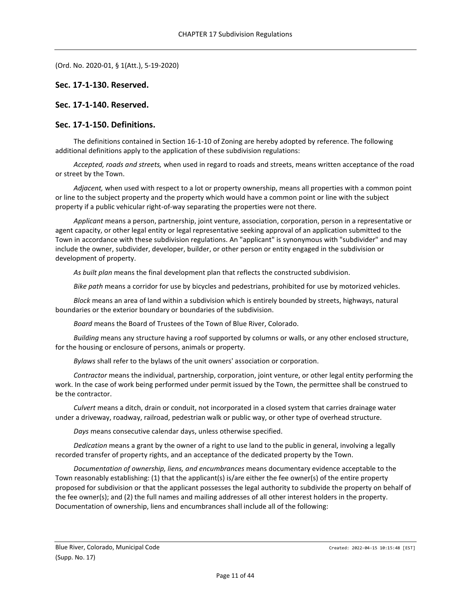#### <span id="page-10-0"></span>**Sec. 17-1-130. Reserved.**

<span id="page-10-1"></span>**Sec. 17-1-140. Reserved.**

#### <span id="page-10-2"></span>**Sec. 17-1-150. Definitions.**

The definitions contained in Section 16-1-10 of Zoning are hereby adopted by reference. The following additional definitions apply to the application of these subdivision regulations:

*Accepted, roads and streets,* when used in regard to roads and streets, means written acceptance of the road or street by the Town.

*Adjacent,* when used with respect to a lot or property ownership, means all properties with a common point or line to the subject property and the property which would have a common point or line with the subject property if a public vehicular right-of-way separating the properties were not there.

*Applicant* means a person, partnership, joint venture, association, corporation, person in a representative or agent capacity, or other legal entity or legal representative seeking approval of an application submitted to the Town in accordance with these subdivision regulations. An "applicant" is synonymous with "subdivider" and may include the owner, subdivider, developer, builder, or other person or entity engaged in the subdivision or development of property.

*As built plan* means the final development plan that reflects the constructed subdivision.

*Bike path* means a corridor for use by bicycles and pedestrians, prohibited for use by motorized vehicles.

*Block* means an area of land within a subdivision which is entirely bounded by streets, highways, natural boundaries or the exterior boundary or boundaries of the subdivision.

*Board* means the Board of Trustees of the Town of Blue River, Colorado.

*Building* means any structure having a roof supported by columns or walls, or any other enclosed structure, for the housing or enclosure of persons, animals or property.

*Bylaws* shall refer to the bylaws of the unit owners' association or corporation.

*Contractor* means the individual, partnership, corporation, joint venture, or other legal entity performing the work. In the case of work being performed under permit issued by the Town, the permittee shall be construed to be the contractor.

*Culvert* means a ditch, drain or conduit, not incorporated in a closed system that carries drainage water under a driveway, roadway, railroad, pedestrian walk or public way, or other type of overhead structure.

*Days* means consecutive calendar days, unless otherwise specified.

*Dedication* means a grant by the owner of a right to use land to the public in general, involving a legally recorded transfer of property rights, and an acceptance of the dedicated property by the Town.

*Documentation of ownership, liens, and encumbrances* means documentary evidence acceptable to the Town reasonably establishing: (1) that the applicant(s) is/are either the fee owner(s) of the entire property proposed for subdivision or that the applicant possesses the legal authority to subdivide the property on behalf of the fee owner(s); and (2) the full names and mailing addresses of all other interest holders in the property. Documentation of ownership, liens and encumbrances shall include all of the following: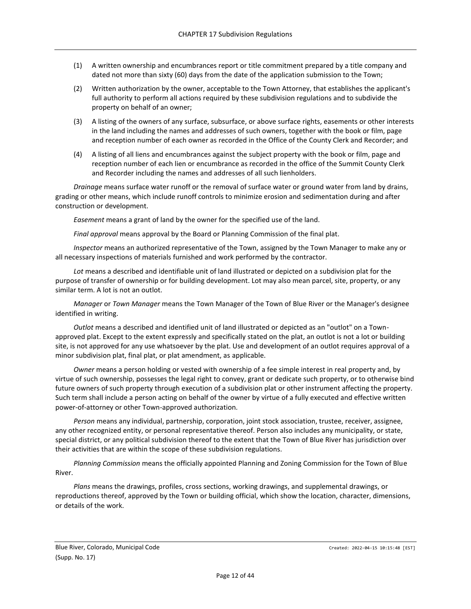- (1) A written ownership and encumbrances report or title commitment prepared by a title company and dated not more than sixty (60) days from the date of the application submission to the Town;
- (2) Written authorization by the owner, acceptable to the Town Attorney, that establishes the applicant's full authority to perform all actions required by these subdivision regulations and to subdivide the property on behalf of an owner;
- (3) A listing of the owners of any surface, subsurface, or above surface rights, easements or other interests in the land including the names and addresses of such owners, together with the book or film, page and reception number of each owner as recorded in the Office of the County Clerk and Recorder; and
- (4) A listing of all liens and encumbrances against the subject property with the book or film, page and reception number of each lien or encumbrance as recorded in the office of the Summit County Clerk and Recorder including the names and addresses of all such lienholders.

*Drainage* means surface water runoff or the removal of surface water or ground water from land by drains, grading or other means, which include runoff controls to minimize erosion and sedimentation during and after construction or development.

*Easement* means a grant of land by the owner for the specified use of the land.

*Final approval* means approval by the Board or Planning Commission of the final plat.

*Inspector* means an authorized representative of the Town, assigned by the Town Manager to make any or all necessary inspections of materials furnished and work performed by the contractor.

*Lot* means a described and identifiable unit of land illustrated or depicted on a subdivision plat for the purpose of transfer of ownership or for building development. Lot may also mean parcel, site, property, or any similar term. A lot is not an outlot.

*Manager* or *Town Manager* means the Town Manager of the Town of Blue River or the Manager's designee identified in writing.

*Outlot* means a described and identified unit of land illustrated or depicted as an "outlot" on a Townapproved plat. Except to the extent expressly and specifically stated on the plat, an outlot is not a lot or building site, is not approved for any use whatsoever by the plat. Use and development of an outlot requires approval of a minor subdivision plat, final plat, or plat amendment, as applicable.

*Owner* means a person holding or vested with ownership of a fee simple interest in real property and, by virtue of such ownership, possesses the legal right to convey, grant or dedicate such property, or to otherwise bind future owners of such property through execution of a subdivision plat or other instrument affecting the property. Such term shall include a person acting on behalf of the owner by virtue of a fully executed and effective written power-of-attorney or other Town-approved authorization.

*Person* means any individual, partnership, corporation, joint stock association, trustee, receiver, assignee, any other recognized entity, or personal representative thereof. Person also includes any municipality, or state, special district, or any political subdivision thereof to the extent that the Town of Blue River has jurisdiction over their activities that are within the scope of these subdivision regulations.

*Planning Commission* means the officially appointed Planning and Zoning Commission for the Town of Blue River.

*Plans* means the drawings, profiles, cross sections, working drawings, and supplemental drawings, or reproductions thereof, approved by the Town or building official, which show the location, character, dimensions, or details of the work.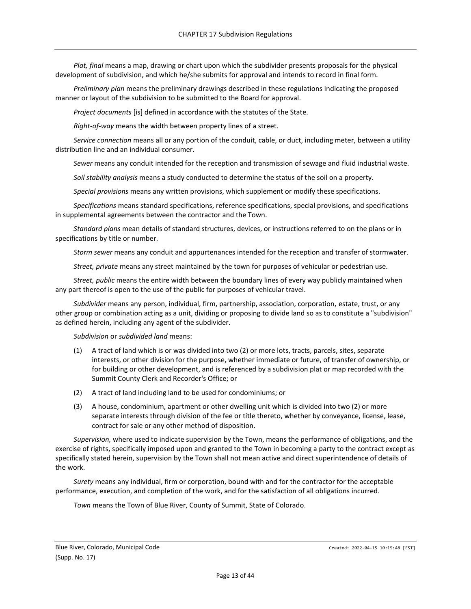*Plat, final* means a map, drawing or chart upon which the subdivider presents proposals for the physical development of subdivision, and which he/she submits for approval and intends to record in final form.

*Preliminary plan* means the preliminary drawings described in these regulations indicating the proposed manner or layout of the subdivision to be submitted to the Board for approval.

*Project documents* [is] defined in accordance with the statutes of the State.

*Right-of-way* means the width between property lines of a street.

*Service connection* means all or any portion of the conduit, cable, or duct, including meter, between a utility distribution line and an individual consumer.

*Sewer* means any conduit intended for the reception and transmission of sewage and fluid industrial waste.

*Soil stability analysis* means a study conducted to determine the status of the soil on a property.

*Special provisions* means any written provisions, which supplement or modify these specifications.

*Specifications* means standard specifications, reference specifications, special provisions, and specifications in supplemental agreements between the contractor and the Town.

*Standard plans* mean details of standard structures, devices, or instructions referred to on the plans or in specifications by title or number.

*Storm sewer* means any conduit and appurtenances intended for the reception and transfer of stormwater.

*Street, private* means any street maintained by the town for purposes of vehicular or pedestrian use.

*Street, public* means the entire width between the boundary lines of every way publicly maintained when any part thereof is open to the use of the public for purposes of vehicular travel.

*Subdivider* means any person, individual, firm, partnership, association, corporation, estate, trust, or any other group or combination acting as a unit, dividing or proposing to divide land so as to constitute a "subdivision" as defined herein, including any agent of the subdivider.

*Subdivision* or *subdivided land* means:

- (1) A tract of land which is or was divided into two (2) or more lots, tracts, parcels, sites, separate interests, or other division for the purpose, whether immediate or future, of transfer of ownership, or for building or other development, and is referenced by a subdivision plat or map recorded with the Summit County Clerk and Recorder's Office; or
- (2) A tract of land including land to be used for condominiums; or
- (3) A house, condominium, apartment or other dwelling unit which is divided into two (2) or more separate interests through division of the fee or title thereto, whether by conveyance, license, lease, contract for sale or any other method of disposition.

*Supervision,* where used to indicate supervision by the Town, means the performance of obligations, and the exercise of rights, specifically imposed upon and granted to the Town in becoming a party to the contract except as specifically stated herein, supervision by the Town shall not mean active and direct superintendence of details of the work.

*Surety* means any individual, firm or corporation, bound with and for the contractor for the acceptable performance, execution, and completion of the work, and for the satisfaction of all obligations incurred.

*Town* means the Town of Blue River, County of Summit, State of Colorado.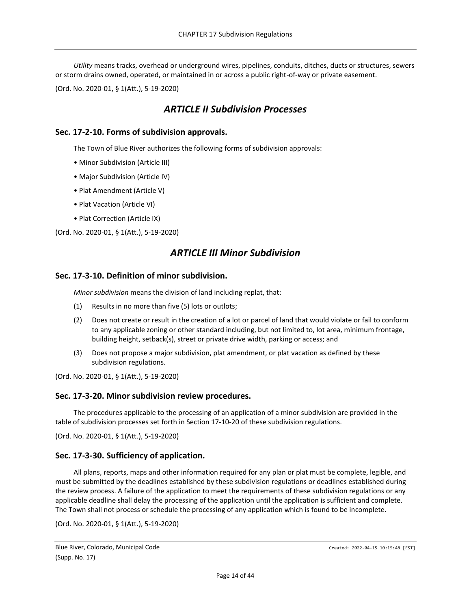*Utility* means tracks, overhead or underground wires, pipelines, conduits, ditches, ducts or structures, sewers or storm drains owned, operated, or maintained in or across a public right-of-way or private easement.

<span id="page-13-0"></span>(Ord. No. 2020-01, § 1(Att.), 5-19-2020)

## *ARTICLE II Subdivision Processes*

#### <span id="page-13-1"></span>**Sec. 17-2-10. Forms of subdivision approvals.**

The Town of Blue River authorizes the following forms of subdivision approvals:

- Minor Subdivision (Article III)
- Major Subdivision (Article IV)
- Plat Amendment (Article V)
- Plat Vacation (Article VI)
- Plat Correction (Article IX)

<span id="page-13-2"></span>(Ord. No. 2020-01, § 1(Att.), 5-19-2020)

## *ARTICLE III Minor Subdivision*

#### <span id="page-13-3"></span>**Sec. 17-3-10. Definition of minor subdivision.**

*Minor subdivision* means the division of land including replat, that:

- (1) Results in no more than five (5) lots or outlots;
- (2) Does not create or result in the creation of a lot or parcel of land that would violate or fail to conform to any applicable zoning or other standard including, but not limited to, lot area, minimum frontage, building height, setback(s), street or private drive width, parking or access; and
- (3) Does not propose a major subdivision, plat amendment, or plat vacation as defined by these subdivision regulations.

(Ord. No. 2020-01, § 1(Att.), 5-19-2020)

#### <span id="page-13-4"></span>**Sec. 17-3-20. Minor subdivision review procedures.**

The procedures applicable to the processing of an application of a minor subdivision are provided in the table of subdivision processes set forth in Section 17-10-20 of these subdivision regulations.

(Ord. No. 2020-01, § 1(Att.), 5-19-2020)

#### <span id="page-13-5"></span>**Sec. 17-3-30. Sufficiency of application.**

All plans, reports, maps and other information required for any plan or plat must be complete, legible, and must be submitted by the deadlines established by these subdivision regulations or deadlines established during the review process. A failure of the application to meet the requirements of these subdivision regulations or any applicable deadline shall delay the processing of the application until the application is sufficient and complete. The Town shall not process or schedule the processing of any application which is found to be incomplete.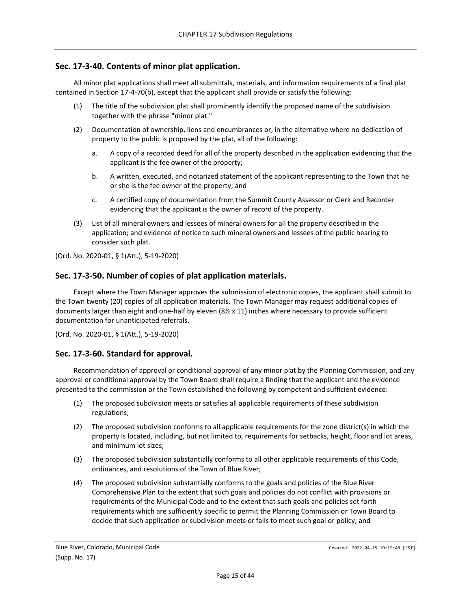## <span id="page-14-0"></span>**Sec. 17-3-40. Contents of minor plat application.**

All minor plat applications shall meet all submittals, materials, and information requirements of a final plat contained in Section 17-4-70(b), except that the applicant shall provide or satisfy the following:

- (1) The title of the subdivision plat shall prominently identify the proposed name of the subdivision together with the phrase "minor plat."
- (2) Documentation of ownership, liens and encumbrances or, in the alternative where no dedication of property to the public is proposed by the plat, all of the following:
	- a. A copy of a recorded deed for all of the property described in the application evidencing that the applicant is the fee owner of the property;
	- b. A written, executed, and notarized statement of the applicant representing to the Town that he or she is the fee owner of the property; and
	- c. A certified copy of documentation from the Summit County Assessor or Clerk and Recorder evidencing that the applicant is the owner of record of the property.
- (3) List of all mineral owners and lessees of mineral owners for all the property described in the application; and evidence of notice to such mineral owners and lessees of the public hearing to consider such plat.

(Ord. No. 2020-01, § 1(Att.), 5-19-2020)

## <span id="page-14-1"></span>**Sec. 17-3-50. Number of copies of plat application materials.**

Except where the Town Manager approves the submission of electronic copies, the applicant shall submit to the Town twenty (20) copies of all application materials. The Town Manager may request additional copies of documents larger than eight and one-half by eleven (8½ x 11) inches where necessary to provide sufficient documentation for unanticipated referrals.

(Ord. No. 2020-01, § 1(Att.), 5-19-2020)

## <span id="page-14-2"></span>**Sec. 17-3-60. Standard for approval.**

Recommendation of approval or conditional approval of any minor plat by the Planning Commission, and any approval or conditional approval by the Town Board shall require a finding that the applicant and the evidence presented to the commission or the Town established the following by competent and sufficient evidence:

- (1) The proposed subdivision meets or satisfies all applicable requirements of these subdivision regulations;
- (2) The proposed subdivision conforms to all applicable requirements for the zone district(s) in which the property is located, including, but not limited to, requirements for setbacks, height, floor and lot areas, and minimum lot sizes;
- (3) The proposed subdivision substantially conforms to all other applicable requirements of this Code, ordinances, and resolutions of the Town of Blue River;
- (4) The proposed subdivision substantially conforms to the goals and policies of the Blue River Comprehensive Plan to the extent that such goals and policies do not conflict with provisions or requirements of the Municipal Code and to the extent that such goals and policies set forth requirements which are sufficiently specific to permit the Planning Commission or Town Board to decide that such application or subdivision meets or fails to meet such goal or policy; and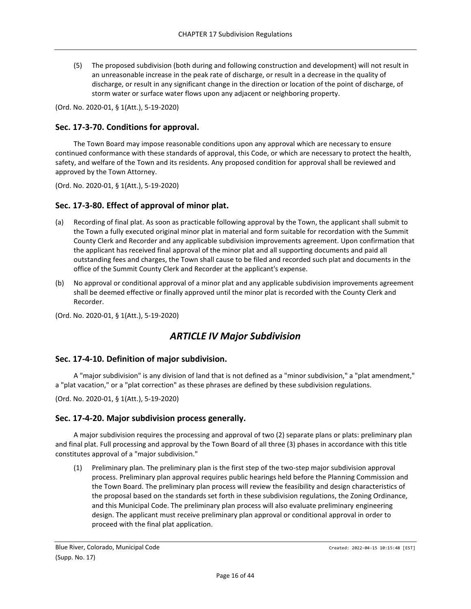(5) The proposed subdivision (both during and following construction and development) will not result in an unreasonable increase in the peak rate of discharge, or result in a decrease in the quality of discharge, or result in any significant change in the direction or location of the point of discharge, of storm water or surface water flows upon any adjacent or neighboring property.

(Ord. No. 2020-01, § 1(Att.), 5-19-2020)

#### <span id="page-15-0"></span>**Sec. 17-3-70. Conditions for approval.**

The Town Board may impose reasonable conditions upon any approval which are necessary to ensure continued conformance with these standards of approval, this Code, or which are necessary to protect the health, safety, and welfare of the Town and its residents. Any proposed condition for approval shall be reviewed and approved by the Town Attorney.

(Ord. No. 2020-01, § 1(Att.), 5-19-2020)

#### <span id="page-15-1"></span>**Sec. 17-3-80. Effect of approval of minor plat.**

- (a) Recording of final plat. As soon as practicable following approval by the Town, the applicant shall submit to the Town a fully executed original minor plat in material and form suitable for recordation with the Summit County Clerk and Recorder and any applicable subdivision improvements agreement. Upon confirmation that the applicant has received final approval of the minor plat and all supporting documents and paid all outstanding fees and charges, the Town shall cause to be filed and recorded such plat and documents in the office of the Summit County Clerk and Recorder at the applicant's expense.
- (b) No approval or conditional approval of a minor plat and any applicable subdivision improvements agreement shall be deemed effective or finally approved until the minor plat is recorded with the County Clerk and Recorder.

<span id="page-15-2"></span>(Ord. No. 2020-01, § 1(Att.), 5-19-2020)

## *ARTICLE IV Major Subdivision*

#### <span id="page-15-3"></span>**Sec. 17-4-10. Definition of major subdivision.**

A "major subdivision" is any division of land that is not defined as a "minor subdivision," a "plat amendment," a "plat vacation," or a "plat correction" as these phrases are defined by these subdivision regulations.

(Ord. No. 2020-01, § 1(Att.), 5-19-2020)

#### <span id="page-15-4"></span>**Sec. 17-4-20. Major subdivision process generally.**

A major subdivision requires the processing and approval of two (2) separate plans or plats: preliminary plan and final plat. Full processing and approval by the Town Board of all three (3) phases in accordance with this title constitutes approval of a "major subdivision."

(1) Preliminary plan. The preliminary plan is the first step of the two-step major subdivision approval process. Preliminary plan approval requires public hearings held before the Planning Commission and the Town Board. The preliminary plan process will review the feasibility and design characteristics of the proposal based on the standards set forth in these subdivision regulations, the Zoning Ordinance, and this Municipal Code. The preliminary plan process will also evaluate preliminary engineering design. The applicant must receive preliminary plan approval or conditional approval in order to proceed with the final plat application.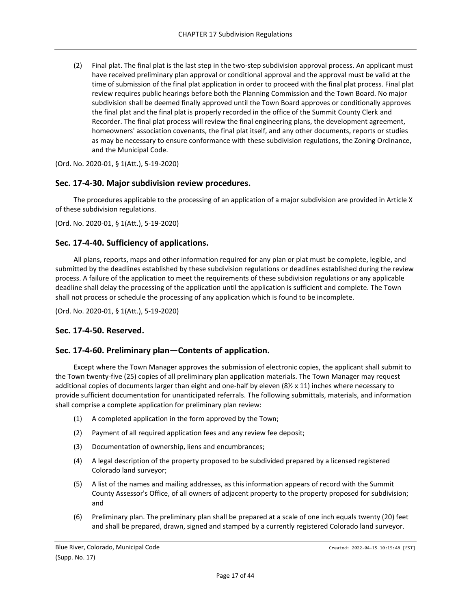(2) Final plat. The final plat is the last step in the two-step subdivision approval process. An applicant must have received preliminary plan approval or conditional approval and the approval must be valid at the time of submission of the final plat application in order to proceed with the final plat process. Final plat review requires public hearings before both the Planning Commission and the Town Board. No major subdivision shall be deemed finally approved until the Town Board approves or conditionally approves the final plat and the final plat is properly recorded in the office of the Summit County Clerk and Recorder. The final plat process will review the final engineering plans, the development agreement, homeowners' association covenants, the final plat itself, and any other documents, reports or studies as may be necessary to ensure conformance with these subdivision regulations, the Zoning Ordinance, and the Municipal Code.

(Ord. No. 2020-01, § 1(Att.), 5-19-2020)

#### <span id="page-16-0"></span>**Sec. 17-4-30. Major subdivision review procedures.**

The procedures applicable to the processing of an application of a major subdivision are provided in Article X of these subdivision regulations.

(Ord. No. 2020-01, § 1(Att.), 5-19-2020)

#### <span id="page-16-1"></span>**Sec. 17-4-40. Sufficiency of applications.**

All plans, reports, maps and other information required for any plan or plat must be complete, legible, and submitted by the deadlines established by these subdivision regulations or deadlines established during the review process. A failure of the application to meet the requirements of these subdivision regulations or any applicable deadline shall delay the processing of the application until the application is sufficient and complete. The Town shall not process or schedule the processing of any application which is found to be incomplete.

(Ord. No. 2020-01, § 1(Att.), 5-19-2020)

#### <span id="page-16-2"></span>**Sec. 17-4-50. Reserved.**

#### <span id="page-16-3"></span>**Sec. 17-4-60. Preliminary plan—Contents of application.**

Except where the Town Manager approves the submission of electronic copies, the applicant shall submit to the Town twenty-five (25) copies of all preliminary plan application materials. The Town Manager may request additional copies of documents larger than eight and one-half by eleven (8½ x 11) inches where necessary to provide sufficient documentation for unanticipated referrals. The following submittals, materials, and information shall comprise a complete application for preliminary plan review:

- (1) A completed application in the form approved by the Town;
- (2) Payment of all required application fees and any review fee deposit;
- (3) Documentation of ownership, liens and encumbrances;
- (4) A legal description of the property proposed to be subdivided prepared by a licensed registered Colorado land surveyor;
- (5) A list of the names and mailing addresses, as this information appears of record with the Summit County Assessor's Office, of all owners of adjacent property to the property proposed for subdivision; and
- (6) Preliminary plan. The preliminary plan shall be prepared at a scale of one inch equals twenty (20) feet and shall be prepared, drawn, signed and stamped by a currently registered Colorado land surveyor.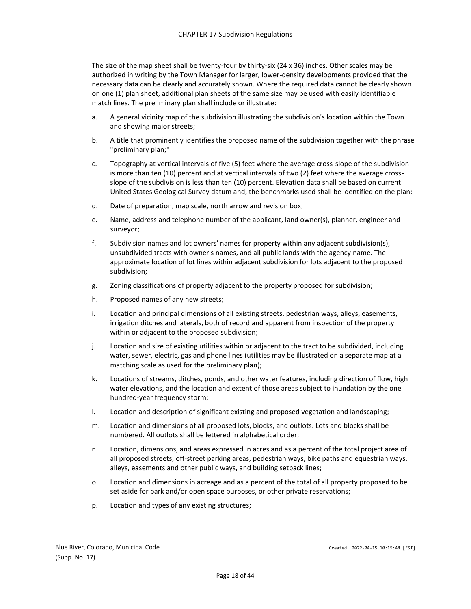The size of the map sheet shall be twenty-four by thirty-six (24 x 36) inches. Other scales may be authorized in writing by the Town Manager for larger, lower-density developments provided that the necessary data can be clearly and accurately shown. Where the required data cannot be clearly shown on one (1) plan sheet, additional plan sheets of the same size may be used with easily identifiable match lines. The preliminary plan shall include or illustrate:

- a. A general vicinity map of the subdivision illustrating the subdivision's location within the Town and showing major streets;
- b. A title that prominently identifies the proposed name of the subdivision together with the phrase "preliminary plan;"
- c. Topography at vertical intervals of five (5) feet where the average cross-slope of the subdivision is more than ten (10) percent and at vertical intervals of two (2) feet where the average crossslope of the subdivision is less than ten (10) percent. Elevation data shall be based on current United States Geological Survey datum and, the benchmarks used shall be identified on the plan;
- d. Date of preparation, map scale, north arrow and revision box;
- e. Name, address and telephone number of the applicant, land owner(s), planner, engineer and surveyor;
- f. Subdivision names and lot owners' names for property within any adjacent subdivision(s), unsubdivided tracts with owner's names, and all public lands with the agency name. The approximate location of lot lines within adjacent subdivision for lots adjacent to the proposed subdivision;
- g. Zoning classifications of property adjacent to the property proposed for subdivision;
- h. Proposed names of any new streets;
- i. Location and principal dimensions of all existing streets, pedestrian ways, alleys, easements, irrigation ditches and laterals, both of record and apparent from inspection of the property within or adjacent to the proposed subdivision;
- j. Location and size of existing utilities within or adjacent to the tract to be subdivided, including water, sewer, electric, gas and phone lines (utilities may be illustrated on a separate map at a matching scale as used for the preliminary plan);
- k. Locations of streams, ditches, ponds, and other water features, including direction of flow, high water elevations, and the location and extent of those areas subject to inundation by the one hundred-year frequency storm;
- l. Location and description of significant existing and proposed vegetation and landscaping;
- m. Location and dimensions of all proposed lots, blocks, and outlots. Lots and blocks shall be numbered. All outlots shall be lettered in alphabetical order;
- n. Location, dimensions, and areas expressed in acres and as a percent of the total project area of all proposed streets, off-street parking areas, pedestrian ways, bike paths and equestrian ways, alleys, easements and other public ways, and building setback lines;
- o. Location and dimensions in acreage and as a percent of the total of all property proposed to be set aside for park and/or open space purposes, or other private reservations;
- p. Location and types of any existing structures;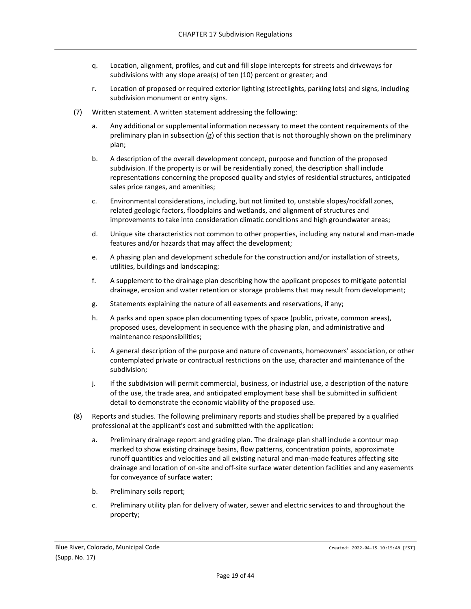- q. Location, alignment, profiles, and cut and fill slope intercepts for streets and driveways for subdivisions with any slope area(s) of ten (10) percent or greater; and
- r. Location of proposed or required exterior lighting (streetlights, parking lots) and signs, including subdivision monument or entry signs.
- (7) Written statement. A written statement addressing the following:
	- a. Any additional or supplemental information necessary to meet the content requirements of the preliminary plan in subsection (g) of this section that is not thoroughly shown on the preliminary plan;
	- b. A description of the overall development concept, purpose and function of the proposed subdivision. If the property is or will be residentially zoned, the description shall include representations concerning the proposed quality and styles of residential structures, anticipated sales price ranges, and amenities;
	- c. Environmental considerations, including, but not limited to, unstable slopes/rockfall zones, related geologic factors, floodplains and wetlands, and alignment of structures and improvements to take into consideration climatic conditions and high groundwater areas;
	- d. Unique site characteristics not common to other properties, including any natural and man-made features and/or hazards that may affect the development;
	- e. A phasing plan and development schedule for the construction and/or installation of streets, utilities, buildings and landscaping;
	- f. A supplement to the drainage plan describing how the applicant proposes to mitigate potential drainage, erosion and water retention or storage problems that may result from development;
	- g. Statements explaining the nature of all easements and reservations, if any;
	- h. A parks and open space plan documenting types of space (public, private, common areas), proposed uses, development in sequence with the phasing plan, and administrative and maintenance responsibilities;
	- i. A general description of the purpose and nature of covenants, homeowners' association, or other contemplated private or contractual restrictions on the use, character and maintenance of the subdivision;
	- j. If the subdivision will permit commercial, business, or industrial use, a description of the nature of the use, the trade area, and anticipated employment base shall be submitted in sufficient detail to demonstrate the economic viability of the proposed use.
- (8) Reports and studies. The following preliminary reports and studies shall be prepared by a qualified professional at the applicant's cost and submitted with the application:
	- a. Preliminary drainage report and grading plan. The drainage plan shall include a contour map marked to show existing drainage basins, flow patterns, concentration points, approximate runoff quantities and velocities and all existing natural and man-made features affecting site drainage and location of on-site and off-site surface water detention facilities and any easements for conveyance of surface water;
	- b. Preliminary soils report;
	- c. Preliminary utility plan for delivery of water, sewer and electric services to and throughout the property;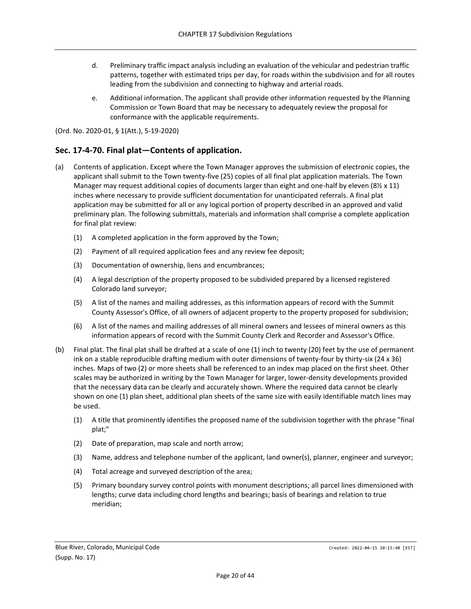- d. Preliminary traffic impact analysis including an evaluation of the vehicular and pedestrian traffic patterns, together with estimated trips per day, for roads within the subdivision and for all routes leading from the subdivision and connecting to highway and arterial roads.
- e. Additional information. The applicant shall provide other information requested by the Planning Commission or Town Board that may be necessary to adequately review the proposal for conformance with the applicable requirements.

## <span id="page-19-0"></span>**Sec. 17-4-70. Final plat—Contents of application.**

- (a) Contents of application. Except where the Town Manager approves the submission of electronic copies, the applicant shall submit to the Town twenty-five (25) copies of all final plat application materials. The Town Manager may request additional copies of documents larger than eight and one-half by eleven (8½ x 11) inches where necessary to provide sufficient documentation for unanticipated referrals. A final plat application may be submitted for all or any logical portion of property described in an approved and valid preliminary plan. The following submittals, materials and information shall comprise a complete application for final plat review:
	- (1) A completed application in the form approved by the Town;
	- (2) Payment of all required application fees and any review fee deposit;
	- (3) Documentation of ownership, liens and encumbrances;
	- (4) A legal description of the property proposed to be subdivided prepared by a licensed registered Colorado land surveyor;
	- (5) A list of the names and mailing addresses, as this information appears of record with the Summit County Assessor's Office, of all owners of adjacent property to the property proposed for subdivision;
	- (6) A list of the names and mailing addresses of all mineral owners and lessees of mineral owners as this information appears of record with the Summit County Clerk and Recorder and Assessor's Office.
- (b) Final plat. The final plat shall be drafted at a scale of one (1) inch to twenty (20) feet by the use of permanent ink on a stable reproducible drafting medium with outer dimensions of twenty-four by thirty-six (24 x 36) inches. Maps of two (2) or more sheets shall be referenced to an index map placed on the first sheet. Other scales may be authorized in writing by the Town Manager for larger, lower-density developments provided that the necessary data can be clearly and accurately shown. Where the required data cannot be clearly shown on one (1) plan sheet, additional plan sheets of the same size with easily identifiable match lines may be used.
	- (1) A title that prominently identifies the proposed name of the subdivision together with the phrase "final plat;"
	- (2) Date of preparation, map scale and north arrow;
	- (3) Name, address and telephone number of the applicant, land owner(s), planner, engineer and surveyor;
	- (4) Total acreage and surveyed description of the area;
	- (5) Primary boundary survey control points with monument descriptions; all parcel lines dimensioned with lengths; curve data including chord lengths and bearings; basis of bearings and relation to true meridian;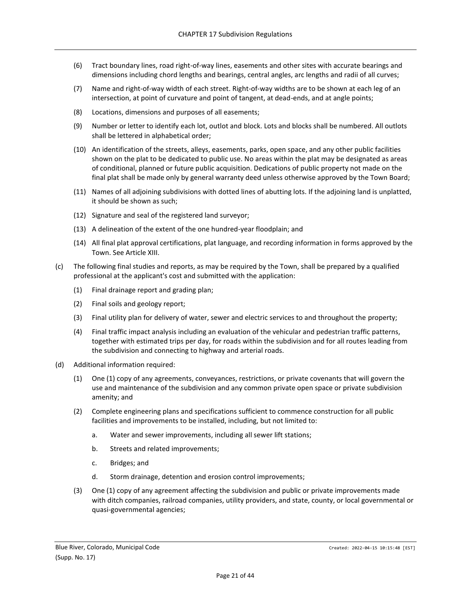- (6) Tract boundary lines, road right-of-way lines, easements and other sites with accurate bearings and dimensions including chord lengths and bearings, central angles, arc lengths and radii of all curves;
- (7) Name and right-of-way width of each street. Right-of-way widths are to be shown at each leg of an intersection, at point of curvature and point of tangent, at dead-ends, and at angle points;
- (8) Locations, dimensions and purposes of all easements;
- (9) Number or letter to identify each lot, outlot and block. Lots and blocks shall be numbered. All outlots shall be lettered in alphabetical order;
- (10) An identification of the streets, alleys, easements, parks, open space, and any other public facilities shown on the plat to be dedicated to public use. No areas within the plat may be designated as areas of conditional, planned or future public acquisition. Dedications of public property not made on the final plat shall be made only by general warranty deed unless otherwise approved by the Town Board;
- (11) Names of all adjoining subdivisions with dotted lines of abutting lots. If the adjoining land is unplatted, it should be shown as such;
- (12) Signature and seal of the registered land surveyor;
- (13) A delineation of the extent of the one hundred-year floodplain; and
- (14) All final plat approval certifications, plat language, and recording information in forms approved by the Town. See Article XIII.
- (c) The following final studies and reports, as may be required by the Town, shall be prepared by a qualified professional at the applicant's cost and submitted with the application:
	- (1) Final drainage report and grading plan;
	- (2) Final soils and geology report;
	- (3) Final utility plan for delivery of water, sewer and electric services to and throughout the property;
	- (4) Final traffic impact analysis including an evaluation of the vehicular and pedestrian traffic patterns, together with estimated trips per day, for roads within the subdivision and for all routes leading from the subdivision and connecting to highway and arterial roads.
- (d) Additional information required:
	- (1) One (1) copy of any agreements, conveyances, restrictions, or private covenants that will govern the use and maintenance of the subdivision and any common private open space or private subdivision amenity; and
	- (2) Complete engineering plans and specifications sufficient to commence construction for all public facilities and improvements to be installed, including, but not limited to:
		- a. Water and sewer improvements, including all sewer lift stations;
		- b. Streets and related improvements;
		- c. Bridges; and
		- d. Storm drainage, detention and erosion control improvements;
	- (3) One (1) copy of any agreement affecting the subdivision and public or private improvements made with ditch companies, railroad companies, utility providers, and state, county, or local governmental or quasi-governmental agencies;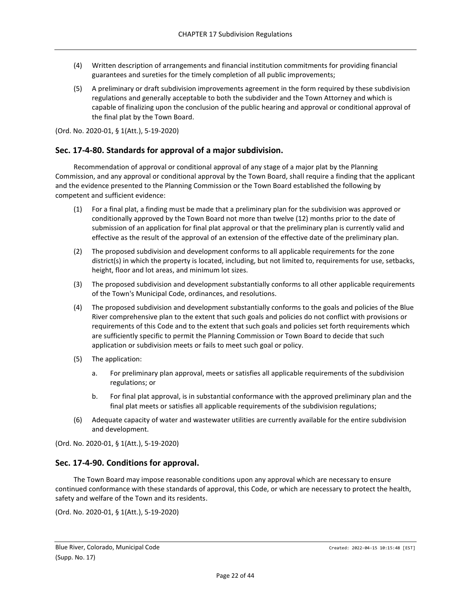- (4) Written description of arrangements and financial institution commitments for providing financial guarantees and sureties for the timely completion of all public improvements;
- (5) A preliminary or draft subdivision improvements agreement in the form required by these subdivision regulations and generally acceptable to both the subdivider and the Town Attorney and which is capable of finalizing upon the conclusion of the public hearing and approval or conditional approval of the final plat by the Town Board.

## <span id="page-21-0"></span>**Sec. 17-4-80. Standards for approval of a major subdivision.**

Recommendation of approval or conditional approval of any stage of a major plat by the Planning Commission, and any approval or conditional approval by the Town Board, shall require a finding that the applicant and the evidence presented to the Planning Commission or the Town Board established the following by competent and sufficient evidence:

- (1) For a final plat, a finding must be made that a preliminary plan for the subdivision was approved or conditionally approved by the Town Board not more than twelve (12) months prior to the date of submission of an application for final plat approval or that the preliminary plan is currently valid and effective as the result of the approval of an extension of the effective date of the preliminary plan.
- (2) The proposed subdivision and development conforms to all applicable requirements for the zone district(s) in which the property is located, including, but not limited to, requirements for use, setbacks, height, floor and lot areas, and minimum lot sizes.
- (3) The proposed subdivision and development substantially conforms to all other applicable requirements of the Town's Municipal Code, ordinances, and resolutions.
- (4) The proposed subdivision and development substantially conforms to the goals and policies of the Blue River comprehensive plan to the extent that such goals and policies do not conflict with provisions or requirements of this Code and to the extent that such goals and policies set forth requirements which are sufficiently specific to permit the Planning Commission or Town Board to decide that such application or subdivision meets or fails to meet such goal or policy.
- (5) The application:
	- a. For preliminary plan approval, meets or satisfies all applicable requirements of the subdivision regulations; or
	- b. For final plat approval, is in substantial conformance with the approved preliminary plan and the final plat meets or satisfies all applicable requirements of the subdivision regulations;
- (6) Adequate capacity of water and wastewater utilities are currently available for the entire subdivision and development.

(Ord. No. 2020-01, § 1(Att.), 5-19-2020)

## <span id="page-21-1"></span>**Sec. 17-4-90. Conditions for approval.**

The Town Board may impose reasonable conditions upon any approval which are necessary to ensure continued conformance with these standards of approval, this Code, or which are necessary to protect the health, safety and welfare of the Town and its residents.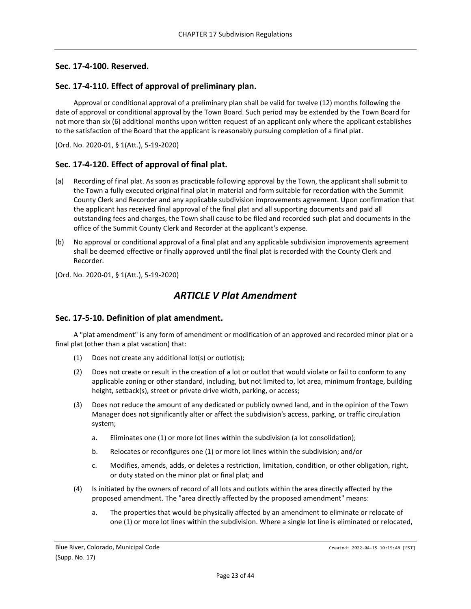#### <span id="page-22-0"></span>**Sec. 17-4-100. Reserved.**

#### <span id="page-22-1"></span>**Sec. 17-4-110. Effect of approval of preliminary plan.**

Approval or conditional approval of a preliminary plan shall be valid for twelve (12) months following the date of approval or conditional approval by the Town Board. Such period may be extended by the Town Board for not more than six (6) additional months upon written request of an applicant only where the applicant establishes to the satisfaction of the Board that the applicant is reasonably pursuing completion of a final plat.

(Ord. No. 2020-01, § 1(Att.), 5-19-2020)

#### <span id="page-22-2"></span>**Sec. 17-4-120. Effect of approval of final plat.**

- (a) Recording of final plat. As soon as practicable following approval by the Town, the applicant shall submit to the Town a fully executed original final plat in material and form suitable for recordation with the Summit County Clerk and Recorder and any applicable subdivision improvements agreement. Upon confirmation that the applicant has received final approval of the final plat and all supporting documents and paid all outstanding fees and charges, the Town shall cause to be filed and recorded such plat and documents in the office of the Summit County Clerk and Recorder at the applicant's expense.
- (b) No approval or conditional approval of a final plat and any applicable subdivision improvements agreement shall be deemed effective or finally approved until the final plat is recorded with the County Clerk and Recorder.

<span id="page-22-3"></span>(Ord. No. 2020-01, § 1(Att.), 5-19-2020)

## *ARTICLE V Plat Amendment*

#### <span id="page-22-4"></span>**Sec. 17-5-10. Definition of plat amendment.**

A "plat amendment" is any form of amendment or modification of an approved and recorded minor plat or a final plat (other than a plat vacation) that:

- (1) Does not create any additional lot(s) or outlot(s);
- (2) Does not create or result in the creation of a lot or outlot that would violate or fail to conform to any applicable zoning or other standard, including, but not limited to, lot area, minimum frontage, building height, setback(s), street or private drive width, parking, or access;
- (3) Does not reduce the amount of any dedicated or publicly owned land, and in the opinion of the Town Manager does not significantly alter or affect the subdivision's access, parking, or traffic circulation system;
	- a. Eliminates one (1) or more lot lines within the subdivision (a lot consolidation);
	- b. Relocates or reconfigures one (1) or more lot lines within the subdivision; and/or
	- c. Modifies, amends, adds, or deletes a restriction, limitation, condition, or other obligation, right, or duty stated on the minor plat or final plat; and
- (4) Is initiated by the owners of record of all lots and outlots within the area directly affected by the proposed amendment. The "area directly affected by the proposed amendment" means:
	- a. The properties that would be physically affected by an amendment to eliminate or relocate of one (1) or more lot lines within the subdivision. Where a single lot line is eliminated or relocated,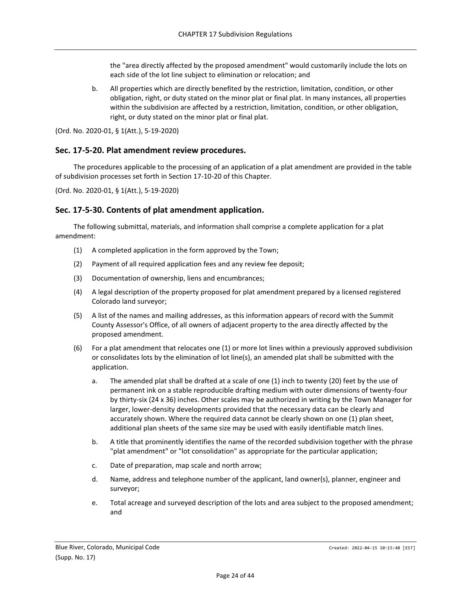the "area directly affected by the proposed amendment" would customarily include the lots on each side of the lot line subject to elimination or relocation; and

b. All properties which are directly benefited by the restriction, limitation, condition, or other obligation, right, or duty stated on the minor plat or final plat. In many instances, all properties within the subdivision are affected by a restriction, limitation, condition, or other obligation, right, or duty stated on the minor plat or final plat.

(Ord. No. 2020-01, § 1(Att.), 5-19-2020)

#### <span id="page-23-0"></span>**Sec. 17-5-20. Plat amendment review procedures.**

The procedures applicable to the processing of an application of a plat amendment are provided in the table of subdivision processes set forth in Section 17-10-20 of this Chapter.

(Ord. No. 2020-01, § 1(Att.), 5-19-2020)

## <span id="page-23-1"></span>**Sec. 17-5-30. Contents of plat amendment application.**

The following submittal, materials, and information shall comprise a complete application for a plat amendment:

- (1) A completed application in the form approved by the Town;
- (2) Payment of all required application fees and any review fee deposit;
- (3) Documentation of ownership, liens and encumbrances;
- (4) A legal description of the property proposed for plat amendment prepared by a licensed registered Colorado land surveyor;
- (5) A list of the names and mailing addresses, as this information appears of record with the Summit County Assessor's Office, of all owners of adjacent property to the area directly affected by the proposed amendment.
- (6) For a plat amendment that relocates one (1) or more lot lines within a previously approved subdivision or consolidates lots by the elimination of lot line(s), an amended plat shall be submitted with the application.
	- a. The amended plat shall be drafted at a scale of one (1) inch to twenty (20) feet by the use of permanent ink on a stable reproducible drafting medium with outer dimensions of twenty-four by thirty-six (24 x 36) inches. Other scales may be authorized in writing by the Town Manager for larger, lower-density developments provided that the necessary data can be clearly and accurately shown. Where the required data cannot be clearly shown on one (1) plan sheet, additional plan sheets of the same size may be used with easily identifiable match lines.
	- b. A title that prominently identifies the name of the recorded subdivision together with the phrase "plat amendment" or "lot consolidation" as appropriate for the particular application;
	- c. Date of preparation, map scale and north arrow;
	- d. Name, address and telephone number of the applicant, land owner(s), planner, engineer and surveyor;
	- e. Total acreage and surveyed description of the lots and area subject to the proposed amendment; and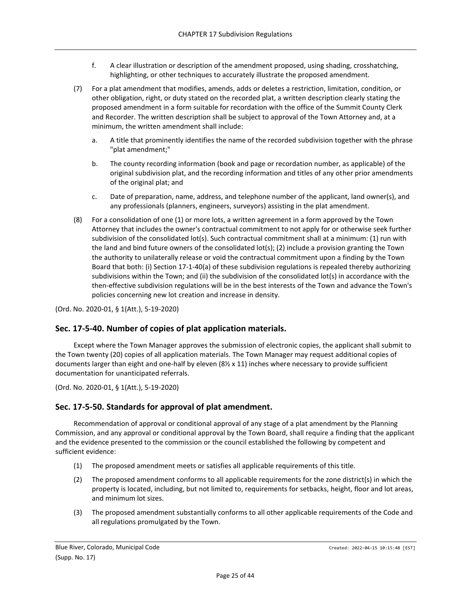- f. A clear illustration or description of the amendment proposed, using shading, crosshatching, highlighting, or other techniques to accurately illustrate the proposed amendment.
- (7) For a plat amendment that modifies, amends, adds or deletes a restriction, limitation, condition, or other obligation, right, or duty stated on the recorded plat, a written description clearly stating the proposed amendment in a form suitable for recordation with the office of the Summit County Clerk and Recorder. The written description shall be subject to approval of the Town Attorney and, at a minimum, the written amendment shall include:
	- a. A title that prominently identifies the name of the recorded subdivision together with the phrase "plat amendment;"
	- b. The county recording information (book and page or recordation number, as applicable) of the original subdivision plat, and the recording information and titles of any other prior amendments of the original plat; and
	- c. Date of preparation, name, address, and telephone number of the applicant, land owner(s), and any professionals (planners, engineers, surveyors) assisting in the plat amendment.
- (8) For a consolidation of one (1) or more lots, a written agreement in a form approved by the Town Attorney that includes the owner's contractual commitment to not apply for or otherwise seek further subdivision of the consolidated lot(s). Such contractual commitment shall at a minimum: (1) run with the land and bind future owners of the consolidated lot(s); (2) include a provision granting the Town the authority to unilaterally release or void the contractual commitment upon a finding by the Town Board that both: (i) Section 17-1-40(a) of these subdivision regulations is repealed thereby authorizing subdivisions within the Town; and (ii) the subdivision of the consolidated lot(s) in accordance with the then-effective subdivision regulations will be in the best interests of the Town and advance the Town's policies concerning new lot creation and increase in density.

## <span id="page-24-0"></span>**Sec. 17-5-40. Number of copies of plat application materials.**

Except where the Town Manager approves the submission of electronic copies, the applicant shall submit to the Town twenty (20) copies of all application materials. The Town Manager may request additional copies of documents larger than eight and one-half by eleven (8½ x 11) inches where necessary to provide sufficient documentation for unanticipated referrals.

(Ord. No. 2020-01, § 1(Att.), 5-19-2020)

## <span id="page-24-1"></span>**Sec. 17-5-50. Standards for approval of plat amendment.**

Recommendation of approval or conditional approval of any stage of a plat amendment by the Planning Commission, and any approval or conditional approval by the Town Board, shall require a finding that the applicant and the evidence presented to the commission or the council established the following by competent and sufficient evidence:

- (1) The proposed amendment meets or satisfies all applicable requirements of this title.
- (2) The proposed amendment conforms to all applicable requirements for the zone district(s) in which the property is located, including, but not limited to, requirements for setbacks, height, floor and lot areas, and minimum lot sizes.
- (3) The proposed amendment substantially conforms to all other applicable requirements of the Code and all regulations promulgated by the Town.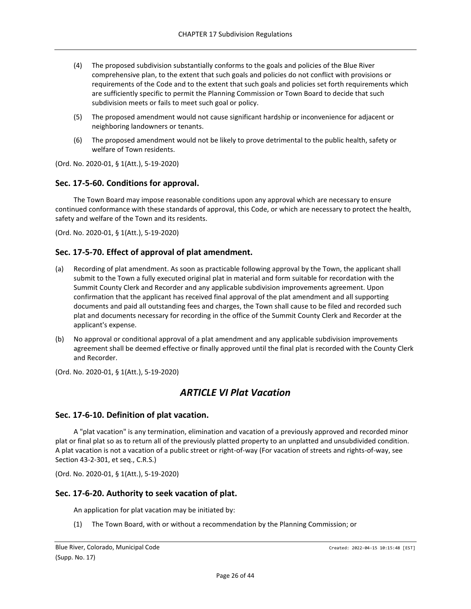- (4) The proposed subdivision substantially conforms to the goals and policies of the Blue River comprehensive plan, to the extent that such goals and policies do not conflict with provisions or requirements of the Code and to the extent that such goals and policies set forth requirements which are sufficiently specific to permit the Planning Commission or Town Board to decide that such subdivision meets or fails to meet such goal or policy.
- (5) The proposed amendment would not cause significant hardship or inconvenience for adjacent or neighboring landowners or tenants.
- (6) The proposed amendment would not be likely to prove detrimental to the public health, safety or welfare of Town residents.

## <span id="page-25-0"></span>**Sec. 17-5-60. Conditions for approval.**

The Town Board may impose reasonable conditions upon any approval which are necessary to ensure continued conformance with these standards of approval, this Code, or which are necessary to protect the health, safety and welfare of the Town and its residents.

(Ord. No. 2020-01, § 1(Att.), 5-19-2020)

## <span id="page-25-1"></span>**Sec. 17-5-70. Effect of approval of plat amendment.**

- (a) Recording of plat amendment. As soon as practicable following approval by the Town, the applicant shall submit to the Town a fully executed original plat in material and form suitable for recordation with the Summit County Clerk and Recorder and any applicable subdivision improvements agreement. Upon confirmation that the applicant has received final approval of the plat amendment and all supporting documents and paid all outstanding fees and charges, the Town shall cause to be filed and recorded such plat and documents necessary for recording in the office of the Summit County Clerk and Recorder at the applicant's expense.
- (b) No approval or conditional approval of a plat amendment and any applicable subdivision improvements agreement shall be deemed effective or finally approved until the final plat is recorded with the County Clerk and Recorder.

<span id="page-25-2"></span>(Ord. No. 2020-01, § 1(Att.), 5-19-2020)

# *ARTICLE VI Plat Vacation*

## <span id="page-25-3"></span>**Sec. 17-6-10. Definition of plat vacation.**

A "plat vacation" is any termination, elimination and vacation of a previously approved and recorded minor plat or final plat so as to return all of the previously platted property to an unplatted and unsubdivided condition. A plat vacation is not a vacation of a public street or right-of-way (For vacation of streets and rights-of-way, see Section 43-2-301, et seq., C.R.S.)

(Ord. No. 2020-01, § 1(Att.), 5-19-2020)

## <span id="page-25-4"></span>**Sec. 17-6-20. Authority to seek vacation of plat.**

An application for plat vacation may be initiated by:

(1) The Town Board, with or without a recommendation by the Planning Commission; or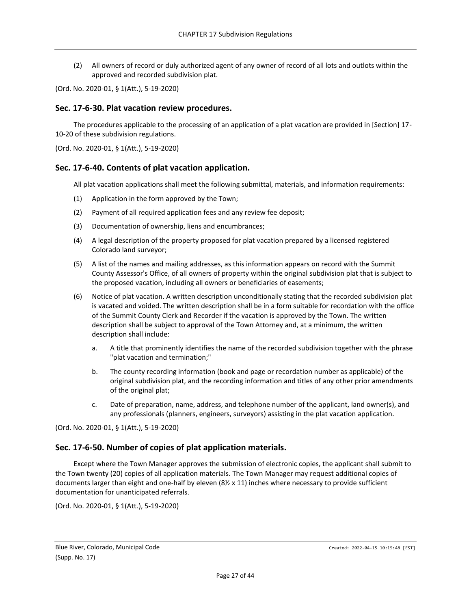(2) All owners of record or duly authorized agent of any owner of record of all lots and outlots within the approved and recorded subdivision plat.

(Ord. No. 2020-01, § 1(Att.), 5-19-2020)

#### <span id="page-26-0"></span>**Sec. 17-6-30. Plat vacation review procedures.**

The procedures applicable to the processing of an application of a plat vacation are provided in [Section] 17- 10-20 of these subdivision regulations.

(Ord. No. 2020-01, § 1(Att.), 5-19-2020)

#### <span id="page-26-1"></span>**Sec. 17-6-40. Contents of plat vacation application.**

All plat vacation applications shall meet the following submittal, materials, and information requirements:

- (1) Application in the form approved by the Town;
- (2) Payment of all required application fees and any review fee deposit;
- (3) Documentation of ownership, liens and encumbrances;
- (4) A legal description of the property proposed for plat vacation prepared by a licensed registered Colorado land surveyor;
- (5) A list of the names and mailing addresses, as this information appears on record with the Summit County Assessor's Office, of all owners of property within the original subdivision plat that is subject to the proposed vacation, including all owners or beneficiaries of easements;
- (6) Notice of plat vacation. A written description unconditionally stating that the recorded subdivision plat is vacated and voided. The written description shall be in a form suitable for recordation with the office of the Summit County Clerk and Recorder if the vacation is approved by the Town. The written description shall be subject to approval of the Town Attorney and, at a minimum, the written description shall include:
	- a. A title that prominently identifies the name of the recorded subdivision together with the phrase "plat vacation and termination;"
	- b. The county recording information (book and page or recordation number as applicable) of the original subdivision plat, and the recording information and titles of any other prior amendments of the original plat;
	- c. Date of preparation, name, address, and telephone number of the applicant, land owner(s), and any professionals (planners, engineers, surveyors) assisting in the plat vacation application.

(Ord. No. 2020-01, § 1(Att.), 5-19-2020)

#### <span id="page-26-2"></span>**Sec. 17-6-50. Number of copies of plat application materials.**

Except where the Town Manager approves the submission of electronic copies, the applicant shall submit to the Town twenty (20) copies of all application materials. The Town Manager may request additional copies of documents larger than eight and one-half by eleven (8½ x 11) inches where necessary to provide sufficient documentation for unanticipated referrals.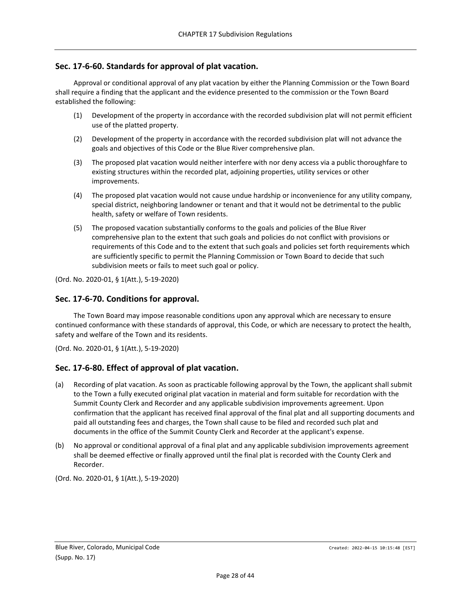## <span id="page-27-0"></span>**Sec. 17-6-60. Standards for approval of plat vacation.**

Approval or conditional approval of any plat vacation by either the Planning Commission or the Town Board shall require a finding that the applicant and the evidence presented to the commission or the Town Board established the following:

- (1) Development of the property in accordance with the recorded subdivision plat will not permit efficient use of the platted property.
- (2) Development of the property in accordance with the recorded subdivision plat will not advance the goals and objectives of this Code or the Blue River comprehensive plan.
- (3) The proposed plat vacation would neither interfere with nor deny access via a public thoroughfare to existing structures within the recorded plat, adjoining properties, utility services or other improvements.
- (4) The proposed plat vacation would not cause undue hardship or inconvenience for any utility company, special district, neighboring landowner or tenant and that it would not be detrimental to the public health, safety or welfare of Town residents.
- (5) The proposed vacation substantially conforms to the goals and policies of the Blue River comprehensive plan to the extent that such goals and policies do not conflict with provisions or requirements of this Code and to the extent that such goals and policies set forth requirements which are sufficiently specific to permit the Planning Commission or Town Board to decide that such subdivision meets or fails to meet such goal or policy.

(Ord. No. 2020-01, § 1(Att.), 5-19-2020)

#### <span id="page-27-1"></span>**Sec. 17-6-70. Conditions for approval.**

The Town Board may impose reasonable conditions upon any approval which are necessary to ensure continued conformance with these standards of approval, this Code, or which are necessary to protect the health, safety and welfare of the Town and its residents.

(Ord. No. 2020-01, § 1(Att.), 5-19-2020)

## <span id="page-27-2"></span>**Sec. 17-6-80. Effect of approval of plat vacation.**

- (a) Recording of plat vacation. As soon as practicable following approval by the Town, the applicant shall submit to the Town a fully executed original plat vacation in material and form suitable for recordation with the Summit County Clerk and Recorder and any applicable subdivision improvements agreement. Upon confirmation that the applicant has received final approval of the final plat and all supporting documents and paid all outstanding fees and charges, the Town shall cause to be filed and recorded such plat and documents in the office of the Summit County Clerk and Recorder at the applicant's expense.
- (b) No approval or conditional approval of a final plat and any applicable subdivision improvements agreement shall be deemed effective or finally approved until the final plat is recorded with the County Clerk and Recorder.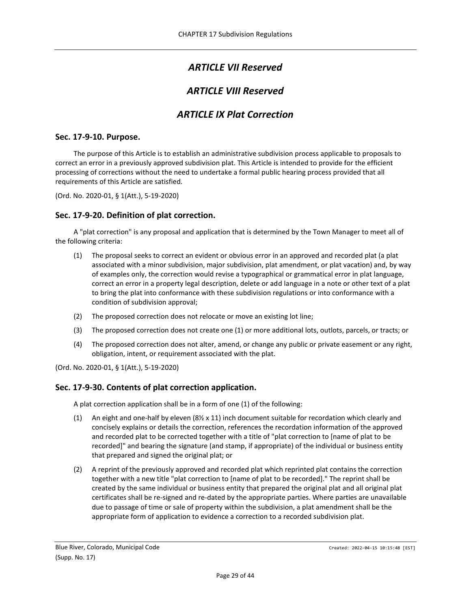# *ARTICLE VII Reserved*

# *ARTICLE VIII Reserved*

# *ARTICLE IX Plat Correction*

## <span id="page-28-3"></span><span id="page-28-2"></span><span id="page-28-1"></span><span id="page-28-0"></span>**Sec. 17-9-10. Purpose.**

The purpose of this Article is to establish an administrative subdivision process applicable to proposals to correct an error in a previously approved subdivision plat. This Article is intended to provide for the efficient processing of corrections without the need to undertake a formal public hearing process provided that all requirements of this Article are satisfied.

(Ord. No. 2020-01, § 1(Att.), 5-19-2020)

#### <span id="page-28-4"></span>**Sec. 17-9-20. Definition of plat correction.**

A "plat correction" is any proposal and application that is determined by the Town Manager to meet all of the following criteria:

- (1) The proposal seeks to correct an evident or obvious error in an approved and recorded plat (a plat associated with a minor subdivision, major subdivision, plat amendment, or plat vacation) and, by way of examples only, the correction would revise a typographical or grammatical error in plat language, correct an error in a property legal description, delete or add language in a note or other text of a plat to bring the plat into conformance with these subdivision regulations or into conformance with a condition of subdivision approval;
- (2) The proposed correction does not relocate or move an existing lot line;
- (3) The proposed correction does not create one (1) or more additional lots, outlots, parcels, or tracts; or
- (4) The proposed correction does not alter, amend, or change any public or private easement or any right, obligation, intent, or requirement associated with the plat.

(Ord. No. 2020-01, § 1(Att.), 5-19-2020)

## <span id="page-28-5"></span>**Sec. 17-9-30. Contents of plat correction application.**

A plat correction application shall be in a form of one (1) of the following:

- (1) An eight and one-half by eleven  $(8\frac{1}{2} \times 11)$  inch document suitable for recordation which clearly and concisely explains or details the correction, references the recordation information of the approved and recorded plat to be corrected together with a title of "plat correction to [name of plat to be recorded]" and bearing the signature (and stamp, if appropriate) of the individual or business entity that prepared and signed the original plat; or
- (2) A reprint of the previously approved and recorded plat which reprinted plat contains the correction together with a new title "plat correction to [name of plat to be recorded]." The reprint shall be created by the same individual or business entity that prepared the original plat and all original plat certificates shall be re-signed and re-dated by the appropriate parties. Where parties are unavailable due to passage of time or sale of property within the subdivision, a plat amendment shall be the appropriate form of application to evidence a correction to a recorded subdivision plat.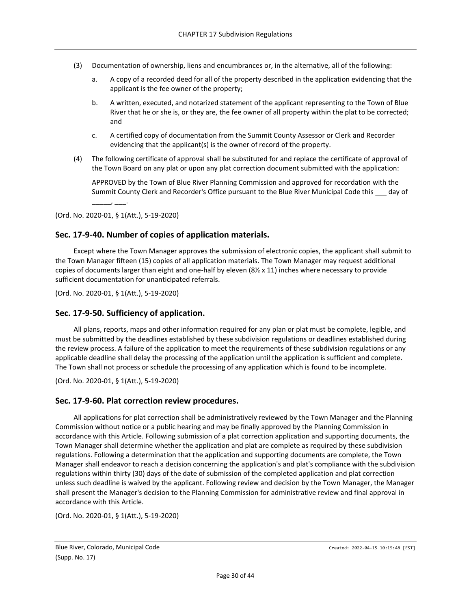- (3) Documentation of ownership, liens and encumbrances or, in the alternative, all of the following:
	- a. A copy of a recorded deed for all of the property described in the application evidencing that the applicant is the fee owner of the property;
	- b. A written, executed, and notarized statement of the applicant representing to the Town of Blue River that he or she is, or they are, the fee owner of all property within the plat to be corrected; and
	- c. A certified copy of documentation from the Summit County Assessor or Clerk and Recorder evidencing that the applicant(s) is the owner of record of the property.
- (4) The following certificate of approval shall be substituted for and replace the certificate of approval of the Town Board on any plat or upon any plat correction document submitted with the application:

APPROVED by the Town of Blue River Planning Commission and approved for recordation with the Summit County Clerk and Recorder's Office pursuant to the Blue River Municipal Code this \_\_\_ day of

(Ord. No. 2020-01, § 1(Att.), 5-19-2020)

\_\_\_\_\_, \_\_\_.

#### <span id="page-29-0"></span>**Sec. 17-9-40. Number of copies of application materials.**

Except where the Town Manager approves the submission of electronic copies, the applicant shall submit to the Town Manager fifteen (15) copies of all application materials. The Town Manager may request additional copies of documents larger than eight and one-half by eleven (8½ x 11) inches where necessary to provide sufficient documentation for unanticipated referrals.

(Ord. No. 2020-01, § 1(Att.), 5-19-2020)

#### <span id="page-29-1"></span>**Sec. 17-9-50. Sufficiency of application.**

All plans, reports, maps and other information required for any plan or plat must be complete, legible, and must be submitted by the deadlines established by these subdivision regulations or deadlines established during the review process. A failure of the application to meet the requirements of these subdivision regulations or any applicable deadline shall delay the processing of the application until the application is sufficient and complete. The Town shall not process or schedule the processing of any application which is found to be incomplete.

(Ord. No. 2020-01, § 1(Att.), 5-19-2020)

#### <span id="page-29-2"></span>**Sec. 17-9-60. Plat correction review procedures.**

All applications for plat correction shall be administratively reviewed by the Town Manager and the Planning Commission without notice or a public hearing and may be finally approved by the Planning Commission in accordance with this Article. Following submission of a plat correction application and supporting documents, the Town Manager shall determine whether the application and plat are complete as required by these subdivision regulations. Following a determination that the application and supporting documents are complete, the Town Manager shall endeavor to reach a decision concerning the application's and plat's compliance with the subdivision regulations within thirty (30) days of the date of submission of the completed application and plat correction unless such deadline is waived by the applicant. Following review and decision by the Town Manager, the Manager shall present the Manager's decision to the Planning Commission for administrative review and final approval in accordance with this Article.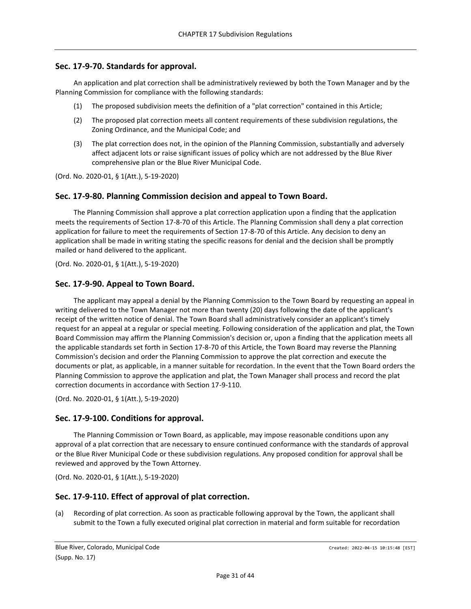## <span id="page-30-0"></span>**Sec. 17-9-70. Standards for approval.**

An application and plat correction shall be administratively reviewed by both the Town Manager and by the Planning Commission for compliance with the following standards:

- (1) The proposed subdivision meets the definition of a "plat correction" contained in this Article;
- (2) The proposed plat correction meets all content requirements of these subdivision regulations, the Zoning Ordinance, and the Municipal Code; and
- (3) The plat correction does not, in the opinion of the Planning Commission, substantially and adversely affect adjacent lots or raise significant issues of policy which are not addressed by the Blue River comprehensive plan or the Blue River Municipal Code.

(Ord. No. 2020-01, § 1(Att.), 5-19-2020)

## <span id="page-30-1"></span>**Sec. 17-9-80. Planning Commission decision and appeal to Town Board.**

The Planning Commission shall approve a plat correction application upon a finding that the application meets the requirements of Section 17-8-70 of this Article. The Planning Commission shall deny a plat correction application for failure to meet the requirements of Section 17-8-70 of this Article. Any decision to deny an application shall be made in writing stating the specific reasons for denial and the decision shall be promptly mailed or hand delivered to the applicant.

(Ord. No. 2020-01, § 1(Att.), 5-19-2020)

## <span id="page-30-2"></span>**Sec. 17-9-90. Appeal to Town Board.**

The applicant may appeal a denial by the Planning Commission to the Town Board by requesting an appeal in writing delivered to the Town Manager not more than twenty (20) days following the date of the applicant's receipt of the written notice of denial. The Town Board shall administratively consider an applicant's timely request for an appeal at a regular or special meeting. Following consideration of the application and plat, the Town Board Commission may affirm the Planning Commission's decision or, upon a finding that the application meets all the applicable standards set forth in Section 17-8-70 of this Article, the Town Board may reverse the Planning Commission's decision and order the Planning Commission to approve the plat correction and execute the documents or plat, as applicable, in a manner suitable for recordation. In the event that the Town Board orders the Planning Commission to approve the application and plat, the Town Manager shall process and record the plat correction documents in accordance with Section 17-9-110.

(Ord. No. 2020-01, § 1(Att.), 5-19-2020)

## <span id="page-30-3"></span>**Sec. 17-9-100. Conditions for approval.**

The Planning Commission or Town Board, as applicable, may impose reasonable conditions upon any approval of a plat correction that are necessary to ensure continued conformance with the standards of approval or the Blue River Municipal Code or these subdivision regulations. Any proposed condition for approval shall be reviewed and approved by the Town Attorney.

(Ord. No. 2020-01, § 1(Att.), 5-19-2020)

## <span id="page-30-4"></span>**Sec. 17-9-110. Effect of approval of plat correction.**

(a) Recording of plat correction. As soon as practicable following approval by the Town, the applicant shall submit to the Town a fully executed original plat correction in material and form suitable for recordation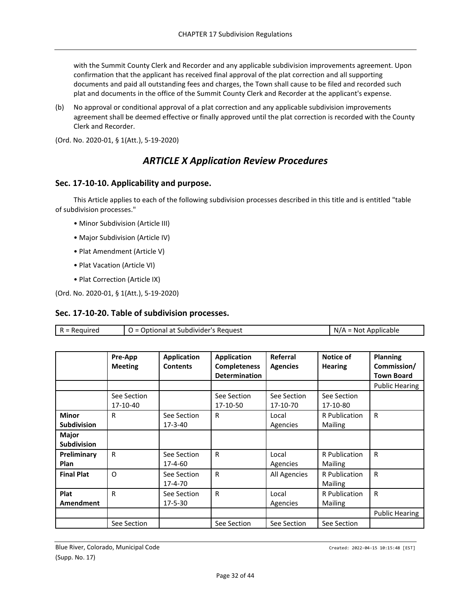with the Summit County Clerk and Recorder and any applicable subdivision improvements agreement. Upon confirmation that the applicant has received final approval of the plat correction and all supporting documents and paid all outstanding fees and charges, the Town shall cause to be filed and recorded such plat and documents in the office of the Summit County Clerk and Recorder at the applicant's expense.

(b) No approval or conditional approval of a plat correction and any applicable subdivision improvements agreement shall be deemed effective or finally approved until the plat correction is recorded with the County Clerk and Recorder.

<span id="page-31-0"></span>(Ord. No. 2020-01, § 1(Att.), 5-19-2020)

## *ARTICLE X Application Review Procedures*

#### <span id="page-31-1"></span>**Sec. 17-10-10. Applicability and purpose.**

This Article applies to each of the following subdivision processes described in this title and is entitled "table of subdivision processes."

- Minor Subdivision (Article III)
- Major Subdivision (Article IV)
- Plat Amendment (Article V)
- Plat Vacation (Article VI)
- Plat Correction (Article IX)

(Ord. No. 2020-01, § 1(Att.), 5-19-2020)

## <span id="page-31-2"></span>**Sec. 17-10-20. Table of subdivision processes.**

| $R = Required$                     |                           | O = Optional at Subdivider's Request  |                                                                   |                             |                             | $N/A = Not Applicable$                       |  |
|------------------------------------|---------------------------|---------------------------------------|-------------------------------------------------------------------|-----------------------------|-----------------------------|----------------------------------------------|--|
|                                    |                           |                                       |                                                                   |                             |                             |                                              |  |
|                                    | Pre-App<br><b>Meeting</b> | <b>Application</b><br><b>Contents</b> | <b>Application</b><br><b>Completeness</b><br><b>Determination</b> | Referral<br><b>Agencies</b> | Notice of<br><b>Hearing</b> | Planning<br>Commission/<br><b>Town Board</b> |  |
|                                    |                           |                                       |                                                                   |                             |                             | <b>Public Hearing</b>                        |  |
|                                    | See Section<br>17-10-40   |                                       | See Section<br>17-10-50                                           | See Section<br>17-10-70     | See Section<br>17-10-80     |                                              |  |
| <b>Minor</b><br><b>Subdivision</b> | R                         | See Section<br>$17 - 3 - 40$          | R                                                                 | Local<br>Agencies           | R Publication<br>Mailing    | R                                            |  |
| Major<br><b>Subdivision</b>        |                           |                                       |                                                                   |                             |                             |                                              |  |
| Preliminary<br>Plan                | $\mathsf{R}$              | See Section<br>$17 - 4 - 60$          | R                                                                 | Local<br>Agencies           | R Publication<br>Mailing    | R                                            |  |
| <b>Final Plat</b>                  | $\Omega$                  | See Section<br>17-4-70                | R                                                                 | All Agencies                | R Publication<br>Mailing    | $\mathsf{R}$                                 |  |
| Plat<br>Amendment                  | R                         | See Section<br>17-5-30                | R                                                                 | Local<br>Agencies           | R Publication<br>Mailing    | R                                            |  |
|                                    |                           |                                       |                                                                   |                             |                             | <b>Public Hearing</b>                        |  |
|                                    | See Section               |                                       | See Section                                                       | See Section                 | See Section                 |                                              |  |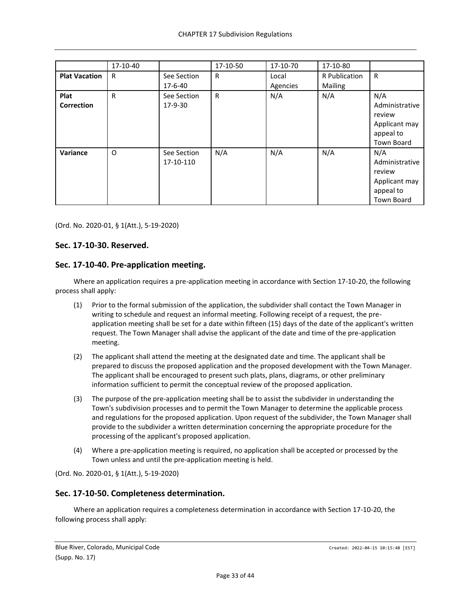|                           | 17-10-40 |                              | 17-10-50 | 17-10-70          | 17-10-80                 |                                                                                    |
|---------------------------|----------|------------------------------|----------|-------------------|--------------------------|------------------------------------------------------------------------------------|
| <b>Plat Vacation</b>      | R        | See Section<br>$17 - 6 - 40$ | R        | Local<br>Agencies | R Publication<br>Mailing | $\mathsf{R}$                                                                       |
| Plat<br><b>Correction</b> | R        | See Section<br>17-9-30       | R        | N/A               | N/A                      | N/A<br>Administrative<br>review<br>Applicant may<br>appeal to<br>Town Board        |
| Variance                  | O        | See Section<br>17-10-110     | N/A      | N/A               | N/A                      | N/A<br>Administrative<br>review<br>Applicant may<br>appeal to<br><b>Town Board</b> |

## <span id="page-32-0"></span>**Sec. 17-10-30. Reserved.**

## <span id="page-32-1"></span>**Sec. 17-10-40. Pre-application meeting.**

Where an application requires a pre-application meeting in accordance with Section 17-10-20, the following process shall apply:

- (1) Prior to the formal submission of the application, the subdivider shall contact the Town Manager in writing to schedule and request an informal meeting. Following receipt of a request, the preapplication meeting shall be set for a date within fifteen (15) days of the date of the applicant's written request. The Town Manager shall advise the applicant of the date and time of the pre-application meeting.
- (2) The applicant shall attend the meeting at the designated date and time. The applicant shall be prepared to discuss the proposed application and the proposed development with the Town Manager. The applicant shall be encouraged to present such plats, plans, diagrams, or other preliminary information sufficient to permit the conceptual review of the proposed application.
- (3) The purpose of the pre-application meeting shall be to assist the subdivider in understanding the Town's subdivision processes and to permit the Town Manager to determine the applicable process and regulations for the proposed application. Upon request of the subdivider, the Town Manager shall provide to the subdivider a written determination concerning the appropriate procedure for the processing of the applicant's proposed application.
- (4) Where a pre-application meeting is required, no application shall be accepted or processed by the Town unless and until the pre-application meeting is held.

(Ord. No. 2020-01, § 1(Att.), 5-19-2020)

## <span id="page-32-2"></span>**Sec. 17-10-50. Completeness determination.**

Where an application requires a completeness determination in accordance with Section 17-10-20, the following process shall apply: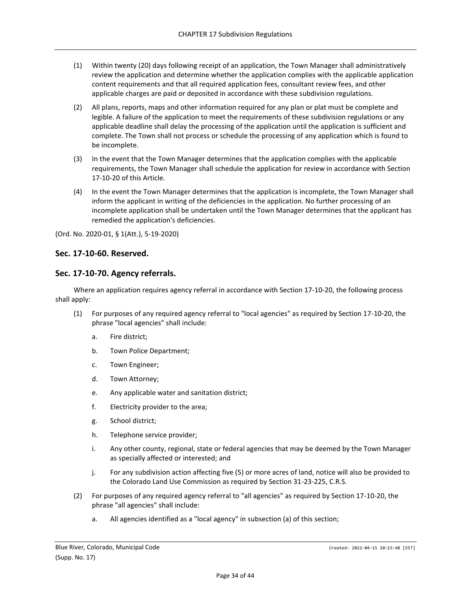- (1) Within twenty (20) days following receipt of an application, the Town Manager shall administratively review the application and determine whether the application complies with the applicable application content requirements and that all required application fees, consultant review fees, and other applicable charges are paid or deposited in accordance with these subdivision regulations.
- (2) All plans, reports, maps and other information required for any plan or plat must be complete and legible. A failure of the application to meet the requirements of these subdivision regulations or any applicable deadline shall delay the processing of the application until the application is sufficient and complete. The Town shall not process or schedule the processing of any application which is found to be incomplete.
- (3) In the event that the Town Manager determines that the application complies with the applicable requirements, the Town Manager shall schedule the application for review in accordance with Section 17-10-20 of this Article.
- (4) In the event the Town Manager determines that the application is incomplete, the Town Manager shall inform the applicant in writing of the deficiencies in the application. No further processing of an incomplete application shall be undertaken until the Town Manager determines that the applicant has remedied the application's deficiencies.

#### <span id="page-33-0"></span>**Sec. 17-10-60. Reserved.**

#### <span id="page-33-1"></span>**Sec. 17-10-70. Agency referrals.**

Where an application requires agency referral in accordance with Section 17-10-20, the following process shall apply:

- (1) For purposes of any required agency referral to "local agencies" as required by Section 17-10-20, the phrase "local agencies" shall include:
	- a. Fire district;
	- b. Town Police Department;
	- c. Town Engineer;
	- d. Town Attorney;
	- e. Any applicable water and sanitation district;
	- f. Electricity provider to the area;
	- g. School district;
	- h. Telephone service provider;
	- i. Any other county, regional, state or federal agencies that may be deemed by the Town Manager as specially affected or interested; and
	- j. For any subdivision action affecting five (5) or more acres of land, notice will also be provided to the Colorado Land Use Commission as required by Section 31-23-225, C.R.S.
- (2) For purposes of any required agency referral to "all agencies" as required by Section 17-10-20, the phrase "all agencies" shall include:
	- a. All agencies identified as a "local agency" in subsection (a) of this section;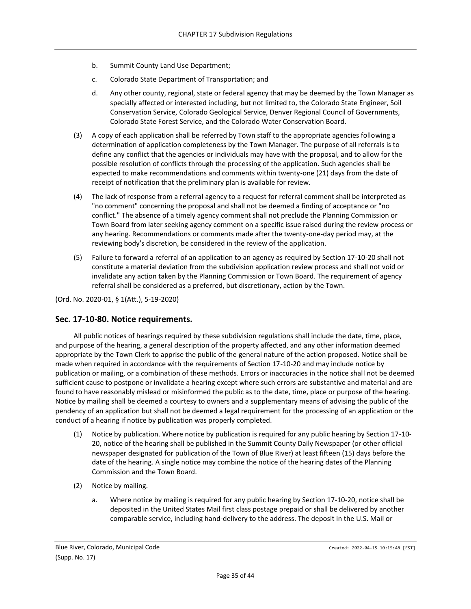- b. Summit County Land Use Department;
- c. Colorado State Department of Transportation; and
- d. Any other county, regional, state or federal agency that may be deemed by the Town Manager as specially affected or interested including, but not limited to, the Colorado State Engineer, Soil Conservation Service, Colorado Geological Service, Denver Regional Council of Governments, Colorado State Forest Service, and the Colorado Water Conservation Board.
- (3) A copy of each application shall be referred by Town staff to the appropriate agencies following a determination of application completeness by the Town Manager. The purpose of all referrals is to define any conflict that the agencies or individuals may have with the proposal, and to allow for the possible resolution of conflicts through the processing of the application. Such agencies shall be expected to make recommendations and comments within twenty-one (21) days from the date of receipt of notification that the preliminary plan is available for review.
- (4) The lack of response from a referral agency to a request for referral comment shall be interpreted as "no comment" concerning the proposal and shall not be deemed a finding of acceptance or "no conflict." The absence of a timely agency comment shall not preclude the Planning Commission or Town Board from later seeking agency comment on a specific issue raised during the review process or any hearing. Recommendations or comments made after the twenty-one-day period may, at the reviewing body's discretion, be considered in the review of the application.
- (5) Failure to forward a referral of an application to an agency as required by Section 17-10-20 shall not constitute a material deviation from the subdivision application review process and shall not void or invalidate any action taken by the Planning Commission or Town Board. The requirement of agency referral shall be considered as a preferred, but discretionary, action by the Town.

## <span id="page-34-0"></span>**Sec. 17-10-80. Notice requirements.**

All public notices of hearings required by these subdivision regulations shall include the date, time, place, and purpose of the hearing, a general description of the property affected, and any other information deemed appropriate by the Town Clerk to apprise the public of the general nature of the action proposed. Notice shall be made when required in accordance with the requirements of Section 17-10-20 and may include notice by publication or mailing, or a combination of these methods. Errors or inaccuracies in the notice shall not be deemed sufficient cause to postpone or invalidate a hearing except where such errors are substantive and material and are found to have reasonably mislead or misinformed the public as to the date, time, place or purpose of the hearing. Notice by mailing shall be deemed a courtesy to owners and a supplementary means of advising the public of the pendency of an application but shall not be deemed a legal requirement for the processing of an application or the conduct of a hearing if notice by publication was properly completed.

- (1) Notice by publication. Where notice by publication is required for any public hearing by Section 17-10- 20, notice of the hearing shall be published in the Summit County Daily Newspaper (or other official newspaper designated for publication of the Town of Blue River) at least fifteen (15) days before the date of the hearing. A single notice may combine the notice of the hearing dates of the Planning Commission and the Town Board.
- (2) Notice by mailing.
	- a. Where notice by mailing is required for any public hearing by Section 17-10-20, notice shall be deposited in the United States Mail first class postage prepaid or shall be delivered by another comparable service, including hand-delivery to the address. The deposit in the U.S. Mail or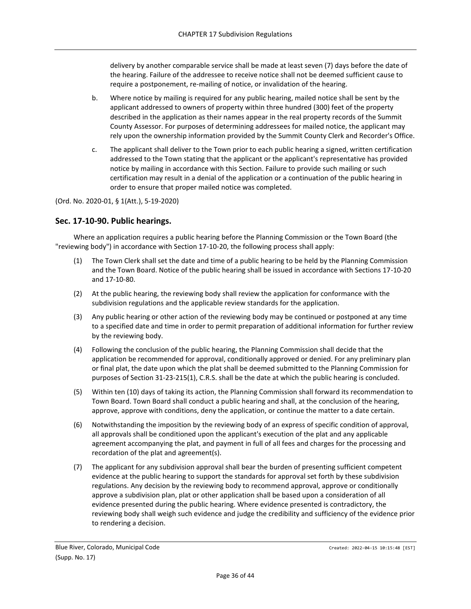delivery by another comparable service shall be made at least seven (7) days before the date of the hearing. Failure of the addressee to receive notice shall not be deemed sufficient cause to require a postponement, re-mailing of notice, or invalidation of the hearing.

- b. Where notice by mailing is required for any public hearing, mailed notice shall be sent by the applicant addressed to owners of property within three hundred (300) feet of the property described in the application as their names appear in the real property records of the Summit County Assessor. For purposes of determining addressees for mailed notice, the applicant may rely upon the ownership information provided by the Summit County Clerk and Recorder's Office.
- c. The applicant shall deliver to the Town prior to each public hearing a signed, written certification addressed to the Town stating that the applicant or the applicant's representative has provided notice by mailing in accordance with this Section. Failure to provide such mailing or such certification may result in a denial of the application or a continuation of the public hearing in order to ensure that proper mailed notice was completed.

(Ord. No. 2020-01, § 1(Att.), 5-19-2020)

## <span id="page-35-0"></span>**Sec. 17-10-90. Public hearings.**

Where an application requires a public hearing before the Planning Commission or the Town Board (the "reviewing body") in accordance with Section 17-10-20, the following process shall apply:

- (1) The Town Clerk shall set the date and time of a public hearing to be held by the Planning Commission and the Town Board. Notice of the public hearing shall be issued in accordance with Sections 17-10-20 and 17-10-80.
- (2) At the public hearing, the reviewing body shall review the application for conformance with the subdivision regulations and the applicable review standards for the application.
- (3) Any public hearing or other action of the reviewing body may be continued or postponed at any time to a specified date and time in order to permit preparation of additional information for further review by the reviewing body.
- (4) Following the conclusion of the public hearing, the Planning Commission shall decide that the application be recommended for approval, conditionally approved or denied. For any preliminary plan or final plat, the date upon which the plat shall be deemed submitted to the Planning Commission for purposes of Section 31-23-215(1), C.R.S. shall be the date at which the public hearing is concluded.
- (5) Within ten (10) days of taking its action, the Planning Commission shall forward its recommendation to Town Board. Town Board shall conduct a public hearing and shall, at the conclusion of the hearing, approve, approve with conditions, deny the application, or continue the matter to a date certain.
- (6) Notwithstanding the imposition by the reviewing body of an express of specific condition of approval, all approvals shall be conditioned upon the applicant's execution of the plat and any applicable agreement accompanying the plat, and payment in full of all fees and charges for the processing and recordation of the plat and agreement(s).
- (7) The applicant for any subdivision approval shall bear the burden of presenting sufficient competent evidence at the public hearing to support the standards for approval set forth by these subdivision regulations. Any decision by the reviewing body to recommend approval, approve or conditionally approve a subdivision plan, plat or other application shall be based upon a consideration of all evidence presented during the public hearing. Where evidence presented is contradictory, the reviewing body shall weigh such evidence and judge the credibility and sufficiency of the evidence prior to rendering a decision.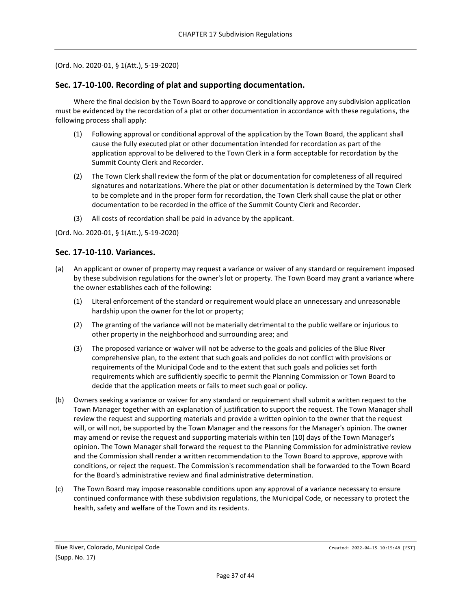#### <span id="page-36-0"></span>**Sec. 17-10-100. Recording of plat and supporting documentation.**

Where the final decision by the Town Board to approve or conditionally approve any subdivision application must be evidenced by the recordation of a plat or other documentation in accordance with these regulations, the following process shall apply:

- (1) Following approval or conditional approval of the application by the Town Board, the applicant shall cause the fully executed plat or other documentation intended for recordation as part of the application approval to be delivered to the Town Clerk in a form acceptable for recordation by the Summit County Clerk and Recorder.
- (2) The Town Clerk shall review the form of the plat or documentation for completeness of all required signatures and notarizations. Where the plat or other documentation is determined by the Town Clerk to be complete and in the proper form for recordation, the Town Clerk shall cause the plat or other documentation to be recorded in the office of the Summit County Clerk and Recorder.
- (3) All costs of recordation shall be paid in advance by the applicant.

(Ord. No. 2020-01, § 1(Att.), 5-19-2020)

#### <span id="page-36-1"></span>**Sec. 17-10-110. Variances.**

- (a) An applicant or owner of property may request a variance or waiver of any standard or requirement imposed by these subdivision regulations for the owner's lot or property. The Town Board may grant a variance where the owner establishes each of the following:
	- (1) Literal enforcement of the standard or requirement would place an unnecessary and unreasonable hardship upon the owner for the lot or property;
	- (2) The granting of the variance will not be materially detrimental to the public welfare or injurious to other property in the neighborhood and surrounding area; and
	- (3) The proposed variance or waiver will not be adverse to the goals and policies of the Blue River comprehensive plan, to the extent that such goals and policies do not conflict with provisions or requirements of the Municipal Code and to the extent that such goals and policies set forth requirements which are sufficiently specific to permit the Planning Commission or Town Board to decide that the application meets or fails to meet such goal or policy.
- (b) Owners seeking a variance or waiver for any standard or requirement shall submit a written request to the Town Manager together with an explanation of justification to support the request. The Town Manager shall review the request and supporting materials and provide a written opinion to the owner that the request will, or will not, be supported by the Town Manager and the reasons for the Manager's opinion. The owner may amend or revise the request and supporting materials within ten (10) days of the Town Manager's opinion. The Town Manager shall forward the request to the Planning Commission for administrative review and the Commission shall render a written recommendation to the Town Board to approve, approve with conditions, or reject the request. The Commission's recommendation shall be forwarded to the Town Board for the Board's administrative review and final administrative determination.
- (c) The Town Board may impose reasonable conditions upon any approval of a variance necessary to ensure continued conformance with these subdivision regulations, the Municipal Code, or necessary to protect the health, safety and welfare of the Town and its residents.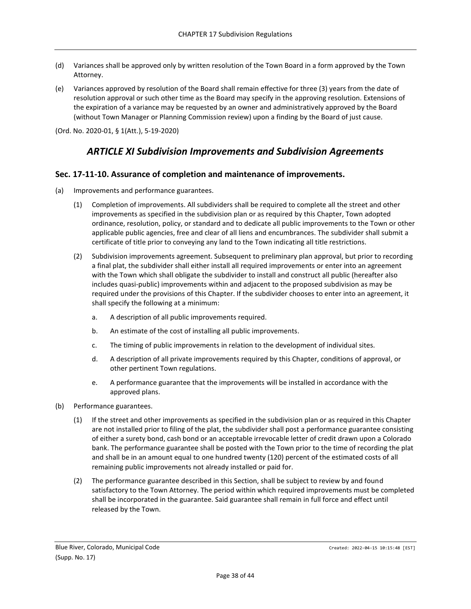- (d) Variances shall be approved only by written resolution of the Town Board in a form approved by the Town Attorney.
- (e) Variances approved by resolution of the Board shall remain effective for three (3) years from the date of resolution approval or such other time as the Board may specify in the approving resolution. Extensions of the expiration of a variance may be requested by an owner and administratively approved by the Board (without Town Manager or Planning Commission review) upon a finding by the Board of just cause.

## *ARTICLE XI Subdivision Improvements and Subdivision Agreements*

#### <span id="page-37-1"></span><span id="page-37-0"></span>**Sec. 17-11-10. Assurance of completion and maintenance of improvements.**

- (a) Improvements and performance guarantees.
	- (1) Completion of improvements. All subdividers shall be required to complete all the street and other improvements as specified in the subdivision plan or as required by this Chapter, Town adopted ordinance, resolution, policy, or standard and to dedicate all public improvements to the Town or other applicable public agencies, free and clear of all liens and encumbrances. The subdivider shall submit a certificate of title prior to conveying any land to the Town indicating all title restrictions.
	- (2) Subdivision improvements agreement. Subsequent to preliminary plan approval, but prior to recording a final plat, the subdivider shall either install all required improvements or enter into an agreement with the Town which shall obligate the subdivider to install and construct all public (hereafter also includes quasi-public) improvements within and adjacent to the proposed subdivision as may be required under the provisions of this Chapter. If the subdivider chooses to enter into an agreement, it shall specify the following at a minimum:
		- a. A description of all public improvements required.
		- b. An estimate of the cost of installing all public improvements.
		- c. The timing of public improvements in relation to the development of individual sites.
		- d. A description of all private improvements required by this Chapter, conditions of approval, or other pertinent Town regulations.
		- e. A performance guarantee that the improvements will be installed in accordance with the approved plans.
- (b) Performance guarantees.
	- (1) If the street and other improvements as specified in the subdivision plan or as required in this Chapter are not installed prior to filing of the plat, the subdivider shall post a performance guarantee consisting of either a surety bond, cash bond or an acceptable irrevocable letter of credit drawn upon a Colorado bank. The performance guarantee shall be posted with the Town prior to the time of recording the plat and shall be in an amount equal to one hundred twenty (120) percent of the estimated costs of all remaining public improvements not already installed or paid for.
	- (2) The performance guarantee described in this Section, shall be subject to review by and found satisfactory to the Town Attorney. The period within which required improvements must be completed shall be incorporated in the guarantee. Said guarantee shall remain in full force and effect until released by the Town.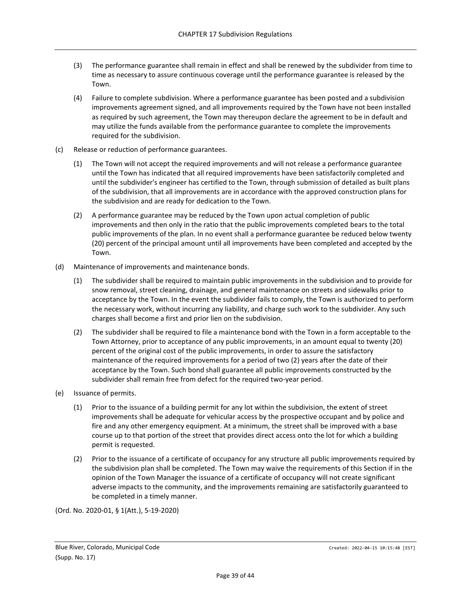- (3) The performance guarantee shall remain in effect and shall be renewed by the subdivider from time to time as necessary to assure continuous coverage until the performance guarantee is released by the Town.
- (4) Failure to complete subdivision. Where a performance guarantee has been posted and a subdivision improvements agreement signed, and all improvements required by the Town have not been installed as required by such agreement, the Town may thereupon declare the agreement to be in default and may utilize the funds available from the performance guarantee to complete the improvements required for the subdivision.
- (c) Release or reduction of performance guarantees.
	- (1) The Town will not accept the required improvements and will not release a performance guarantee until the Town has indicated that all required improvements have been satisfactorily completed and until the subdivider's engineer has certified to the Town, through submission of detailed as built plans of the subdivision, that all improvements are in accordance with the approved construction plans for the subdivision and are ready for dedication to the Town.
	- (2) A performance guarantee may be reduced by the Town upon actual completion of public improvements and then only in the ratio that the public improvements completed bears to the total public improvements of the plan. In no event shall a performance guarantee be reduced below twenty (20) percent of the principal amount until all improvements have been completed and accepted by the Town.
- (d) Maintenance of improvements and maintenance bonds.
	- (1) The subdivider shall be required to maintain public improvements in the subdivision and to provide for snow removal, street cleaning, drainage, and general maintenance on streets and sidewalks prior to acceptance by the Town. In the event the subdivider fails to comply, the Town is authorized to perform the necessary work, without incurring any liability, and charge such work to the subdivider. Any such charges shall become a first and prior lien on the subdivision.
	- (2) The subdivider shall be required to file a maintenance bond with the Town in a form acceptable to the Town Attorney, prior to acceptance of any public improvements, in an amount equal to twenty (20) percent of the original cost of the public improvements, in order to assure the satisfactory maintenance of the required improvements for a period of two (2) years after the date of their acceptance by the Town. Such bond shall guarantee all public improvements constructed by the subdivider shall remain free from defect for the required two-year period.
- (e) Issuance of permits.
	- (1) Prior to the issuance of a building permit for any lot within the subdivision, the extent of street improvements shall be adequate for vehicular access by the prospective occupant and by police and fire and any other emergency equipment. At a minimum, the street shall be improved with a base course up to that portion of the street that provides direct access onto the lot for which a building permit is requested.
	- (2) Prior to the issuance of a certificate of occupancy for any structure all public improvements required by the subdivision plan shall be completed. The Town may waive the requirements of this Section if in the opinion of the Town Manager the issuance of a certificate of occupancy will not create significant adverse impacts to the community, and the improvements remaining are satisfactorily guaranteed to be completed in a timely manner.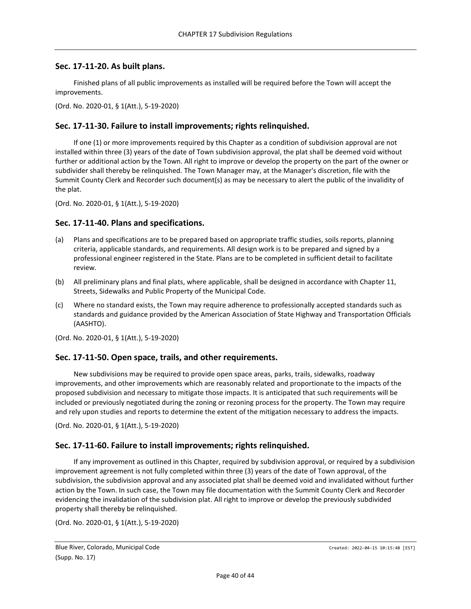#### <span id="page-39-0"></span>**Sec. 17-11-20. As built plans.**

Finished plans of all public improvements as installed will be required before the Town will accept the improvements.

(Ord. No. 2020-01, § 1(Att.), 5-19-2020)

#### <span id="page-39-1"></span>**Sec. 17-11-30. Failure to install improvements; rights relinquished.**

If one (1) or more improvements required by this Chapter as a condition of subdivision approval are not installed within three (3) years of the date of Town subdivision approval, the plat shall be deemed void without further or additional action by the Town. All right to improve or develop the property on the part of the owner or subdivider shall thereby be relinquished. The Town Manager may, at the Manager's discretion, file with the Summit County Clerk and Recorder such document(s) as may be necessary to alert the public of the invalidity of the plat.

(Ord. No. 2020-01, § 1(Att.), 5-19-2020)

#### <span id="page-39-2"></span>**Sec. 17-11-40. Plans and specifications.**

- (a) Plans and specifications are to be prepared based on appropriate traffic studies, soils reports, planning criteria, applicable standards, and requirements. All design work is to be prepared and signed by a professional engineer registered in the State. Plans are to be completed in sufficient detail to facilitate review.
- (b) All preliminary plans and final plats, where applicable, shall be designed in accordance with Chapter 11, Streets, Sidewalks and Public Property of the Municipal Code.
- (c) Where no standard exists, the Town may require adherence to professionally accepted standards such as standards and guidance provided by the American Association of State Highway and Transportation Officials (AASHTO).

(Ord. No. 2020-01, § 1(Att.), 5-19-2020)

#### <span id="page-39-3"></span>**Sec. 17-11-50. Open space, trails, and other requirements.**

New subdivisions may be required to provide open space areas, parks, trails, sidewalks, roadway improvements, and other improvements which are reasonably related and proportionate to the impacts of the proposed subdivision and necessary to mitigate those impacts. It is anticipated that such requirements will be included or previously negotiated during the zoning or rezoning process for the property. The Town may require and rely upon studies and reports to determine the extent of the mitigation necessary to address the impacts.

(Ord. No. 2020-01, § 1(Att.), 5-19-2020)

#### <span id="page-39-4"></span>**Sec. 17-11-60. Failure to install improvements; rights relinquished.**

If any improvement as outlined in this Chapter, required by subdivision approval, or required by a subdivision improvement agreement is not fully completed within three (3) years of the date of Town approval, of the subdivision, the subdivision approval and any associated plat shall be deemed void and invalidated without further action by the Town. In such case, the Town may file documentation with the Summit County Clerk and Recorder evidencing the invalidation of the subdivision plat. All right to improve or develop the previously subdivided property shall thereby be relinquished.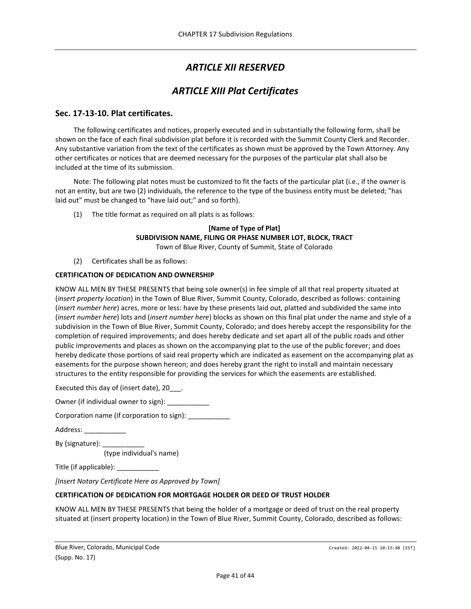# *ARTICLE XII RESERVED*

# *ARTICLE XIII Plat Certificates*

## <span id="page-40-2"></span><span id="page-40-1"></span><span id="page-40-0"></span>**Sec. 17-13-10. Plat certificates.**

The following certificates and notices, properly executed and in substantially the following form, shall be shown on the face of each final subdivision plat before it is recorded with the Summit County Clerk and Recorder. Any substantive variation from the text of the certificates as shown must be approved by the Town Attorney. Any other certificates or notices that are deemed necessary for the purposes of the particular plat shall also be included at the time of its submission.

Note: The following plat notes must be customized to fit the facts of the particular plat (i.e., if the owner is not an entity, but are two (2) individuals, the reference to the type of the business entity must be deleted; "has laid out" must be changed to "have laid out;" and so forth).

(1) The title format as required on all plats is as follows:

#### **[Name of Type of Plat] SUBDIVISION NAME, FILING OR PHASE NUMBER LOT, BLOCK, TRACT** Town of Blue River, County of Summit, State of Colorado

(2) Certificates shall be as follows:

#### **CERTIFICATION OF DEDICATION AND OWNERSHIP**

KNOW ALL MEN BY THESE PRESENTS that being sole owner(s) in fee simple of all that real property situated at (*insert property location*) in the Town of Blue River, Summit County, Colorado, described as follows: containing (*insert number here*) acres, more or less: have by these presents laid out, platted and subdivided the same into (*insert number here*) lots and (*insert number here*) blocks as shown on this final plat under the name and style of a subdivision in the Town of Blue River, Summit County, Colorado; and does hereby accept the responsibility for the completion of required improvements; and does hereby dedicate and set apart all of the public roads and other public improvements and places as shown on the accompanying plat to the use of the public forever; and does hereby dedicate those portions of said real property which are indicated as easement on the accompanying plat as easements for the purpose shown hereon; and does hereby grant the right to install and maintain necessary structures to the entity responsible for providing the services for which the easements are established.

Executed this day of (insert date), 20\_\_\_.

Owner (if individual owner to sign): \_\_\_\_\_\_\_\_\_\_\_\_

Corporation name (if corporation to sign):

Address: \_\_\_\_\_\_\_\_\_\_\_

By (signature): \_\_\_\_\_\_\_\_\_\_\_ (type individual's name)

Title (if applicable): \_\_\_\_\_\_\_\_\_\_

*[Insert Notary Certificate Here as Approved by Town]*

#### **CERTIFICATION OF DEDICATION FOR MORTGAGE HOLDER OR DEED OF TRUST HOLDER**

KNOW ALL MEN BY THESE PRESENTS that being the holder of a mortgage or deed of trust on the real property situated at (insert property location) in the Town of Blue River, Summit County, Colorado, described as follows:

Blue River, Colorado, Municipal Code Castella and Code Created: 2022-04-15 10:15:48 [EST] (Supp. No. 17)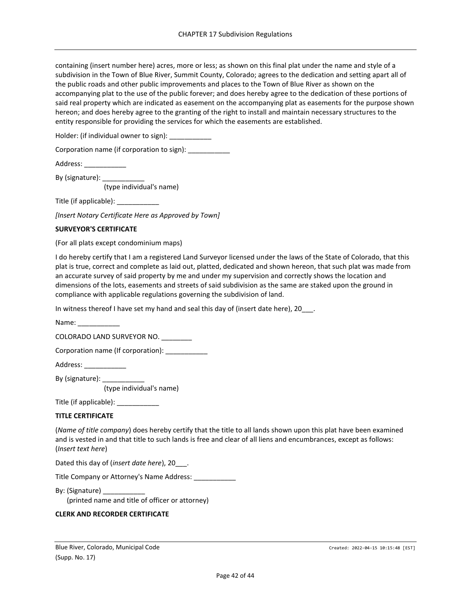containing (insert number here) acres, more or less; as shown on this final plat under the name and style of a subdivision in the Town of Blue River, Summit County, Colorado; agrees to the dedication and setting apart all of the public roads and other public improvements and places to the Town of Blue River as shown on the accompanying plat to the use of the public forever; and does hereby agree to the dedication of these portions of said real property which are indicated as easement on the accompanying plat as easements for the purpose shown hereon; and does hereby agree to the granting of the right to install and maintain necessary structures to the entity responsible for providing the services for which the easements are established.

Holder: (if individual owner to sign): \_\_\_\_\_\_\_\_\_\_\_

Corporation name (if corporation to sign):

| Address: |  |
|----------|--|
|----------|--|

By (signature): (type individual's name)

Title (if applicable): \_\_\_\_\_\_\_\_\_\_\_

*[Insert Notary Certificate Here as Approved by Town]*

#### **SURVEYOR'S CERTIFICATE**

(For all plats except condominium maps)

I do hereby certify that I am a registered Land Surveyor licensed under the laws of the State of Colorado, that this plat is true, correct and complete as laid out, platted, dedicated and shown hereon, that such plat was made from an accurate survey of said property by me and under my supervision and correctly shows the location and dimensions of the lots, easements and streets of said subdivision as the same are staked upon the ground in compliance with applicable regulations governing the subdivision of land.

In witness thereof I have set my hand and seal this day of (insert date here), 20 .

Name: COLORADO LAND SURVEYOR NO. \_\_\_\_\_\_\_\_

Corporation name (If corporation):

Address: \_\_\_\_\_\_\_\_\_\_\_

By (signature): \_\_\_\_\_\_\_

(type individual's name)

Title (if applicable): \_\_\_\_\_\_\_\_\_\_

#### **TITLE CERTIFICATE**

(*Name of title company*) does hereby certify that the title to all lands shown upon this plat have been examined and is vested in and that title to such lands is free and clear of all liens and encumbrances, except as follows: (*Insert text here*)

Dated this day of (*insert date here*), 20\_\_\_.

Title Company or Attorney's Name Address: \_\_\_\_\_\_

By: (Signature) (printed name and title of officer or attorney)

#### **CLERK AND RECORDER CERTIFICATE**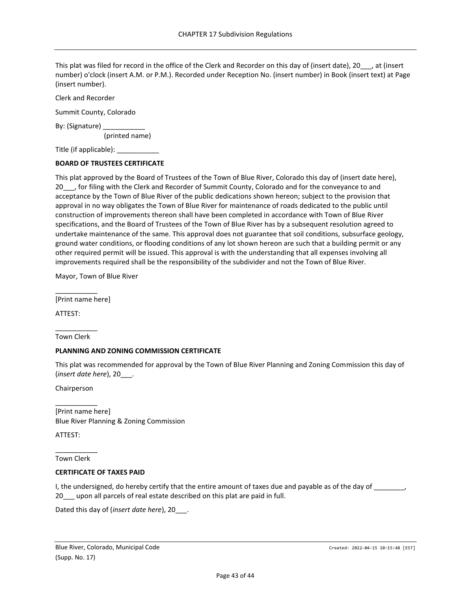This plat was filed for record in the office of the Clerk and Recorder on this day of (insert date), 20\_\_\_, at (insert number) o'clock (insert A.M. or P.M.). Recorded under Reception No. (insert number) in Book (insert text) at Page (insert number).

Clerk and Recorder

Summit County, Colorado

By: (Signature) \_

(printed name)

Title (if applicable): \_\_\_\_\_\_\_\_\_\_\_

#### **BOARD OF TRUSTEES CERTIFICATE**

This plat approved by the Board of Trustees of the Town of Blue River, Colorado this day of (insert date here), 20\_\_\_, for filing with the Clerk and Recorder of Summit County, Colorado and for the conveyance to and acceptance by the Town of Blue River of the public dedications shown hereon; subject to the provision that approval in no way obligates the Town of Blue River for maintenance of roads dedicated to the public until construction of improvements thereon shall have been completed in accordance with Town of Blue River specifications, and the Board of Trustees of the Town of Blue River has by a subsequent resolution agreed to undertake maintenance of the same. This approval does not guarantee that soil conditions, subsurface geology, ground water conditions, or flooding conditions of any lot shown hereon are such that a building permit or any other required permit will be issued. This approval is with the understanding that all expenses involving all improvements required shall be the responsibility of the subdivider and not the Town of Blue River.

Mayor, Town of Blue River

\_\_\_\_\_\_\_\_\_\_\_ [Print name here]

ATTEST:

\_\_\_\_\_\_\_\_\_\_\_ Town Clerk

#### **PLANNING AND ZONING COMMISSION CERTIFICATE**

This plat was recommended for approval by the Town of Blue River Planning and Zoning Commission this day of (*insert date here*), 20\_\_\_.

Chairperson

\_\_\_\_\_\_\_\_\_\_\_

[Print name here] Blue River Planning & Zoning Commission

ATTEST:

\_\_\_\_\_\_\_\_\_\_\_ Town Clerk

#### **CERTIFICATE OF TAXES PAID**

I, the undersigned, do hereby certify that the entire amount of taxes due and payable as of the day of \_\_\_\_\_\_\_, 20\_\_\_ upon all parcels of real estate described on this plat are paid in full.

Dated this day of (*insert date here*), 20\_\_\_.

Blue River, Colorado, Municipal Code Castella and Code Created: 2022-04-15 10:15:48 [EST] (Supp. No. 17)